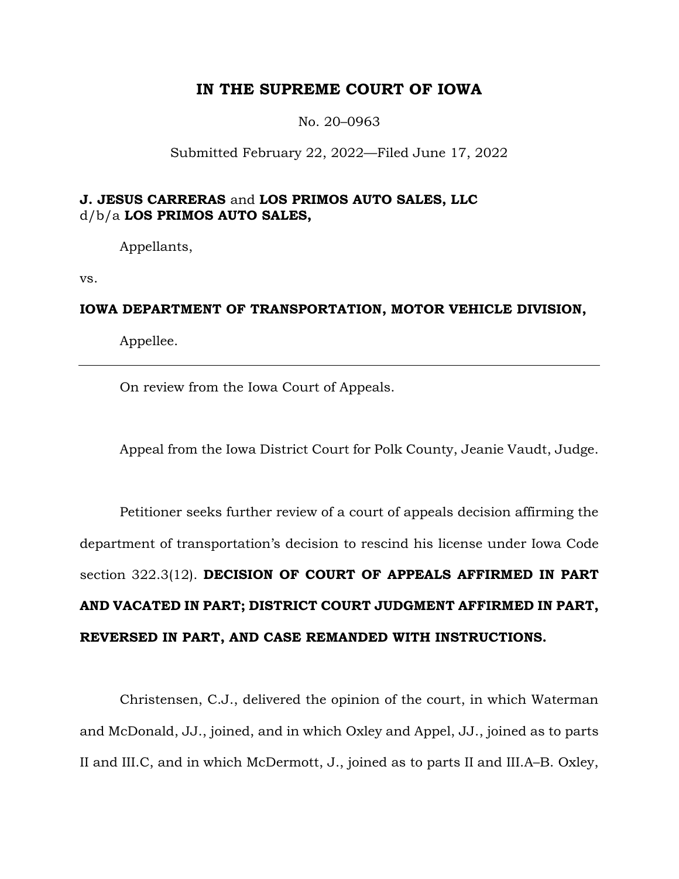# **IN THE SUPREME COURT OF IOWA**

No. 20–0963

Submitted February 22, 2022—Filed June 17, 2022

# **J. JESUS CARRERAS** and **LOS PRIMOS AUTO SALES, LLC**  d/b/a **LOS PRIMOS AUTO SALES,**

Appellants,

vs.

# **IOWA DEPARTMENT OF TRANSPORTATION, MOTOR VEHICLE DIVISION,**

Appellee.

On review from the Iowa Court of Appeals.

Appeal from the Iowa District Court for Polk County, Jeanie Vaudt, Judge.

Petitioner seeks further review of a court of appeals decision affirming the department of transportation's decision to rescind his license under Iowa Code section 322.3(12). **DECISION OF COURT OF APPEALS AFFIRMED IN PART AND VACATED IN PART; DISTRICT COURT JUDGMENT AFFIRMED IN PART, REVERSED IN PART, AND CASE REMANDED WITH INSTRUCTIONS.**

Christensen, C.J., delivered the opinion of the court, in which Waterman and McDonald, JJ., joined, and in which Oxley and Appel, JJ., joined as to parts II and III.C, and in which McDermott, J., joined as to parts II and III.A–B. Oxley,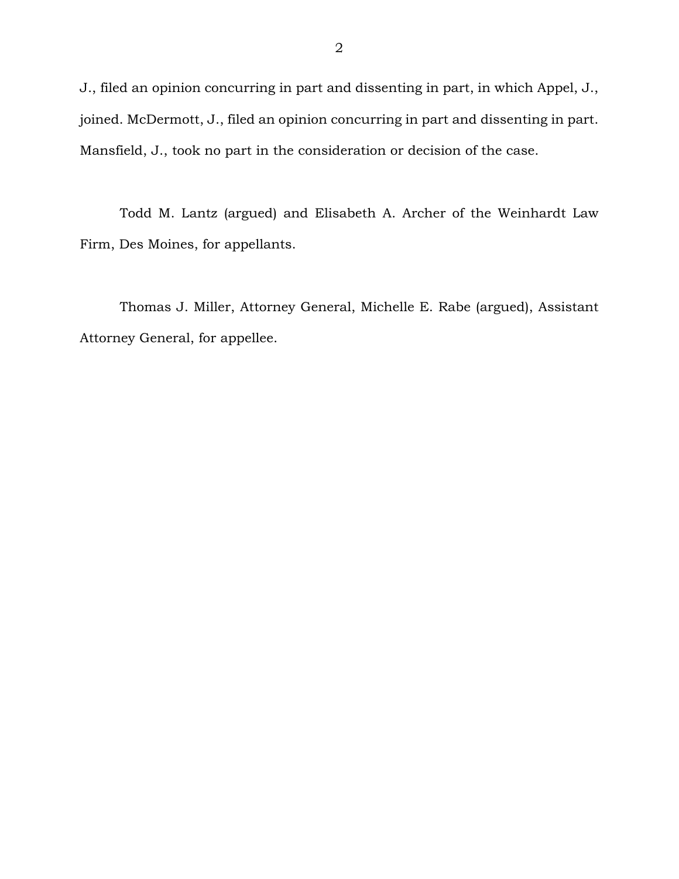J., filed an opinion concurring in part and dissenting in part, in which Appel, J., joined. McDermott, J., filed an opinion concurring in part and dissenting in part. Mansfield, J., took no part in the consideration or decision of the case.

Todd M. Lantz (argued) and Elisabeth A. Archer of the Weinhardt Law Firm, Des Moines, for appellants.

Thomas J. Miller, Attorney General, Michelle E. Rabe (argued), Assistant Attorney General, for appellee.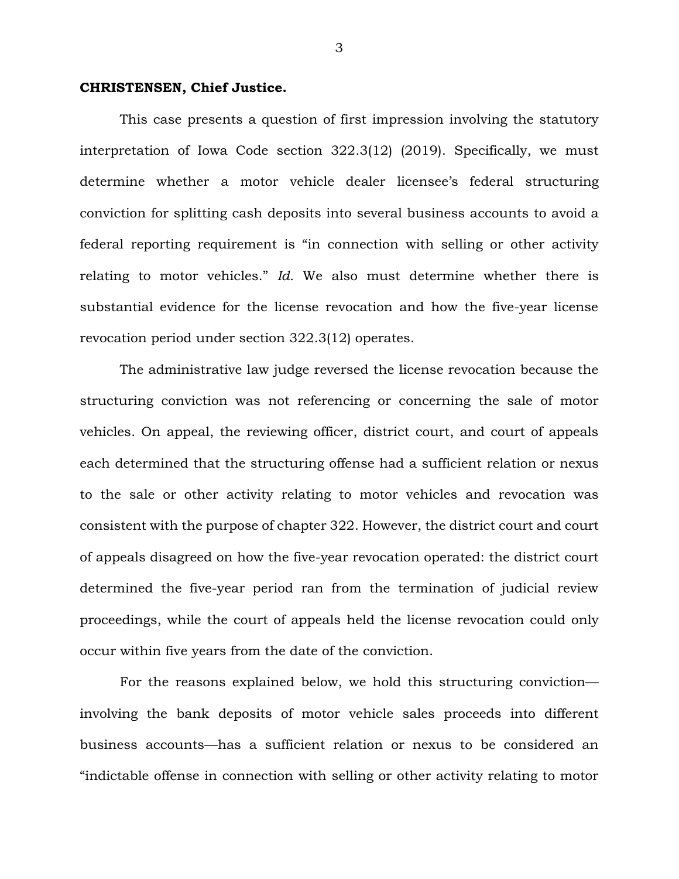#### **CHRISTENSEN, Chief Justice.**

This case presents a question of first impression involving the statutory interpretation of Iowa Code section 322.3(12) (2019). Specifically, we must determine whether a motor vehicle dealer licensee's federal structuring conviction for splitting cash deposits into several business accounts to avoid a federal reporting requirement is "in connection with selling or other activity relating to motor vehicles." *Id.* We also must determine whether there is substantial evidence for the license revocation and how the five-year license revocation period under section 322.3(12) operates.

The administrative law judge reversed the license revocation because the structuring conviction was not referencing or concerning the sale of motor vehicles. On appeal, the reviewing officer, district court, and court of appeals each determined that the structuring offense had a sufficient relation or nexus to the sale or other activity relating to motor vehicles and revocation was consistent with the purpose of chapter 322. However, the district court and court of appeals disagreed on how the five-year revocation operated: the district court determined the five-year period ran from the termination of judicial review proceedings, while the court of appeals held the license revocation could only occur within five years from the date of the conviction.

For the reasons explained below, we hold this structuring conviction involving the bank deposits of motor vehicle sales proceeds into different business accounts—has a sufficient relation or nexus to be considered an "indictable offense in connection with selling or other activity relating to motor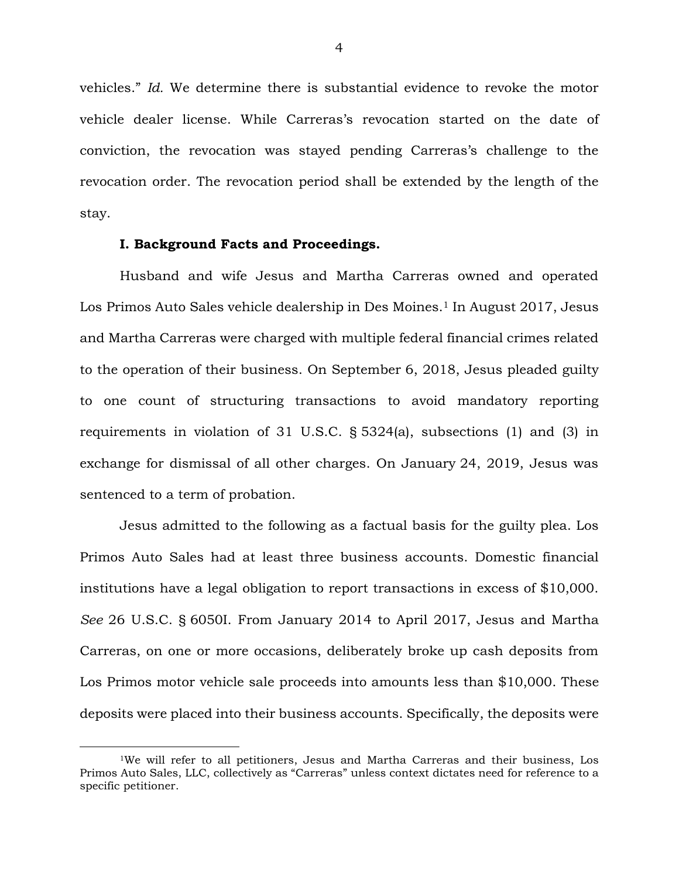vehicles." *Id.* We determine there is substantial evidence to revoke the motor vehicle dealer license. While Carreras's revocation started on the date of conviction, the revocation was stayed pending Carreras's challenge to the revocation order. The revocation period shall be extended by the length of the stay.

### **I. Background Facts and Proceedings.**

Husband and wife Jesus and Martha Carreras owned and operated Los Primos Auto Sales vehicle dealership in Des Moines.<sup>1</sup> In August 2017, Jesus and Martha Carreras were charged with multiple federal financial crimes related to the operation of their business. On September 6, 2018, Jesus pleaded guilty to one count of structuring transactions to avoid mandatory reporting requirements in violation of 31 U.S.C. § 5324(a), subsections (1) and (3) in exchange for dismissal of all other charges. On January 24, 2019, Jesus was sentenced to a term of probation.

Jesus admitted to the following as a factual basis for the guilty plea. Los Primos Auto Sales had at least three business accounts. Domestic financial institutions have a legal obligation to report transactions in excess of \$10,000. *See* 26 U.S.C. § 6050I. From January 2014 to April 2017, Jesus and Martha Carreras, on one or more occasions, deliberately broke up cash deposits from Los Primos motor vehicle sale proceeds into amounts less than \$10,000. These deposits were placed into their business accounts. Specifically, the deposits were

<sup>1</sup>We will refer to all petitioners, Jesus and Martha Carreras and their business, Los Primos Auto Sales, LLC, collectively as "Carreras" unless context dictates need for reference to a specific petitioner.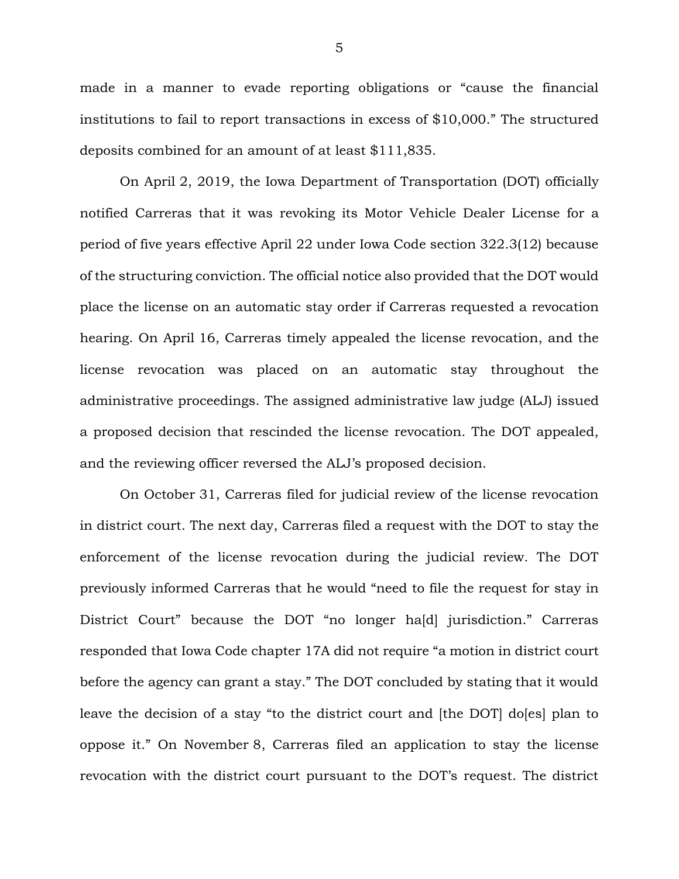made in a manner to evade reporting obligations or "cause the financial institutions to fail to report transactions in excess of \$10,000." The structured deposits combined for an amount of at least \$111,835.

On April 2, 2019, the Iowa Department of Transportation (DOT) officially notified Carreras that it was revoking its Motor Vehicle Dealer License for a period of five years effective April 22 under Iowa Code section 322.3(12) because of the structuring conviction. The official notice also provided that the DOT would place the license on an automatic stay order if Carreras requested a revocation hearing. On April 16, Carreras timely appealed the license revocation, and the license revocation was placed on an automatic stay throughout the administrative proceedings. The assigned administrative law judge (ALJ) issued a proposed decision that rescinded the license revocation. The DOT appealed, and the reviewing officer reversed the ALJ's proposed decision.

On October 31, Carreras filed for judicial review of the license revocation in district court. The next day, Carreras filed a request with the DOT to stay the enforcement of the license revocation during the judicial review. The DOT previously informed Carreras that he would "need to file the request for stay in District Court" because the DOT "no longer ha[d] jurisdiction." Carreras responded that Iowa Code chapter 17A did not require "a motion in district court before the agency can grant a stay." The DOT concluded by stating that it would leave the decision of a stay "to the district court and [the DOT] do[es] plan to oppose it." On November 8, Carreras filed an application to stay the license revocation with the district court pursuant to the DOT's request. The district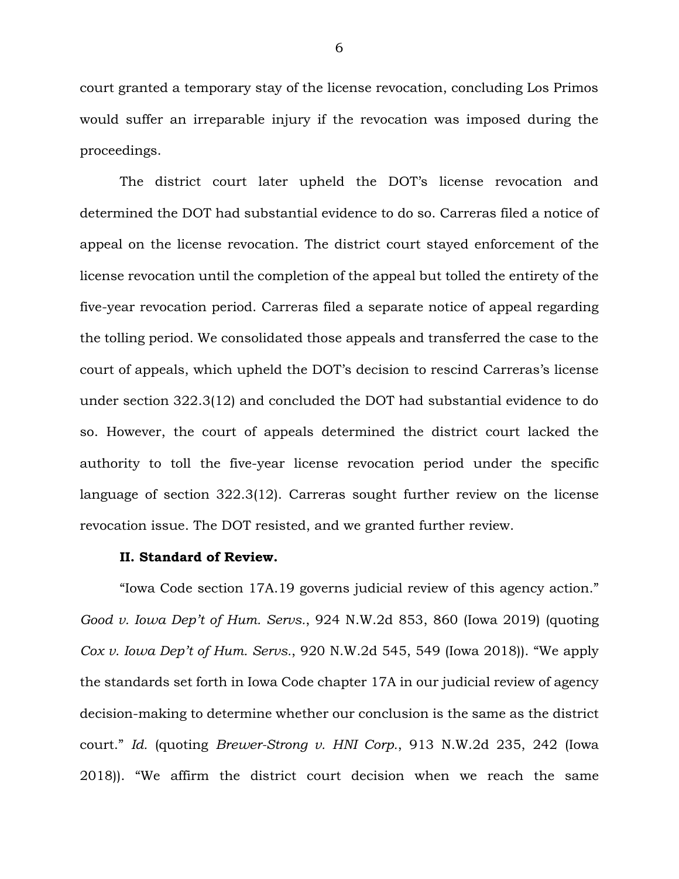court granted a temporary stay of the license revocation, concluding Los Primos would suffer an irreparable injury if the revocation was imposed during the proceedings.

The district court later upheld the DOT's license revocation and determined the DOT had substantial evidence to do so. Carreras filed a notice of appeal on the license revocation. The district court stayed enforcement of the license revocation until the completion of the appeal but tolled the entirety of the five-year revocation period. Carreras filed a separate notice of appeal regarding the tolling period. We consolidated those appeals and transferred the case to the court of appeals, which upheld the DOT's decision to rescind Carreras's license under section 322.3(12) and concluded the DOT had substantial evidence to do so. However, the court of appeals determined the district court lacked the authority to toll the five-year license revocation period under the specific language of section 322.3(12). Carreras sought further review on the license revocation issue. The DOT resisted, and we granted further review.

#### **II. Standard of Review.**

"Iowa Code section 17A.19 governs judicial review of this agency action." *Good v. Iowa Dep't of Hum. Servs.*, 924 N.W.2d 853, 860 (Iowa 2019) (quoting *Cox v. Iowa Dep't of Hum. Servs.*, 920 N.W.2d 545, 549 (Iowa 2018)). "We apply the standards set forth in Iowa Code chapter 17A in our judicial review of agency decision-making to determine whether our conclusion is the same as the district court." *Id.* (quoting *Brewer-Strong v. HNI Corp.*, 913 N.W.2d 235, 242 (Iowa 2018)). "We affirm the district court decision when we reach the same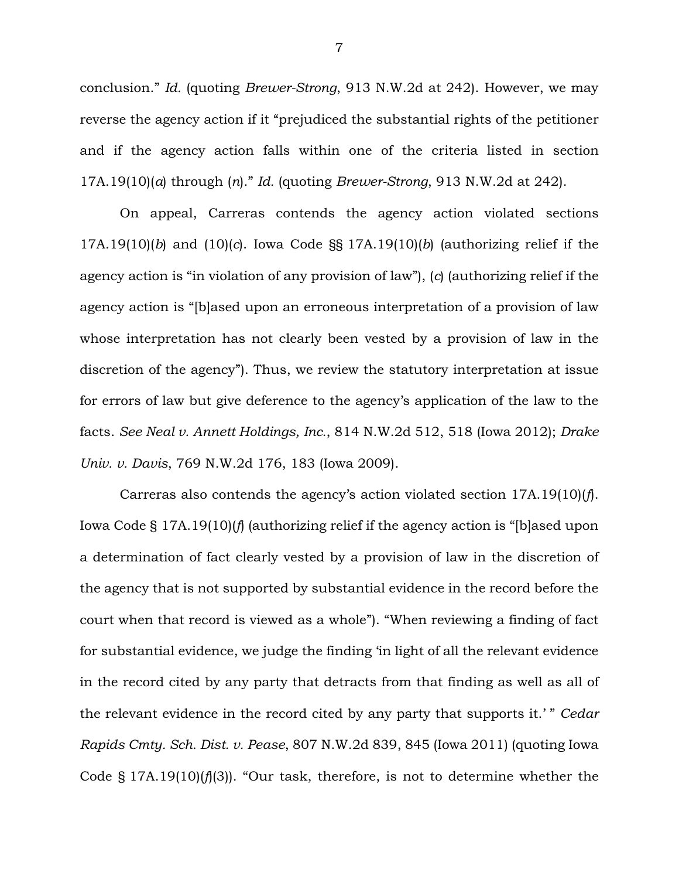conclusion." *Id.* (quoting *Brewer-Strong*, 913 N.W.2d at 242). However, we may reverse the agency action if it "prejudiced the substantial rights of the petitioner and if the agency action falls within one of the criteria listed in section 17A.19(10)(*a*) through (*n*)." *Id.* (quoting *Brewer-Strong*, 913 N.W.2d at 242).

On appeal, Carreras contends the agency action violated sections 17A.19(10)(*b*) and (10)(*c*). Iowa Code §§ 17A.19(10)(*b*) (authorizing relief if the agency action is "in violation of any provision of law"), (*c*) (authorizing relief if the agency action is "[b]ased upon an erroneous interpretation of a provision of law whose interpretation has not clearly been vested by a provision of law in the discretion of the agency"). Thus, we review the statutory interpretation at issue for errors of law but give deference to the agency's application of the law to the facts. *See Neal v. Annett Holdings, Inc.*, 814 N.W.2d 512, 518 (Iowa 2012); *Drake Univ. v. Davis*, 769 N.W.2d 176, 183 (Iowa 2009).

Carreras also contends the agency's action violated section 17A.19(10)(*f*). Iowa Code § 17A.19(10)(*f*) (authorizing relief if the agency action is "[b]ased upon a determination of fact clearly vested by a provision of law in the discretion of the agency that is not supported by substantial evidence in the record before the court when that record is viewed as a whole"). "When reviewing a finding of fact for substantial evidence, we judge the finding 'in light of all the relevant evidence in the record cited by any party that detracts from that finding as well as all of the relevant evidence in the record cited by any party that supports it.' " *Cedar Rapids Cmty. Sch. Dist. v. Pease*, 807 N.W.2d 839, 845 (Iowa 2011) (quoting Iowa Code § 17A.19(10)(*f*)(3)). "Our task, therefore, is not to determine whether the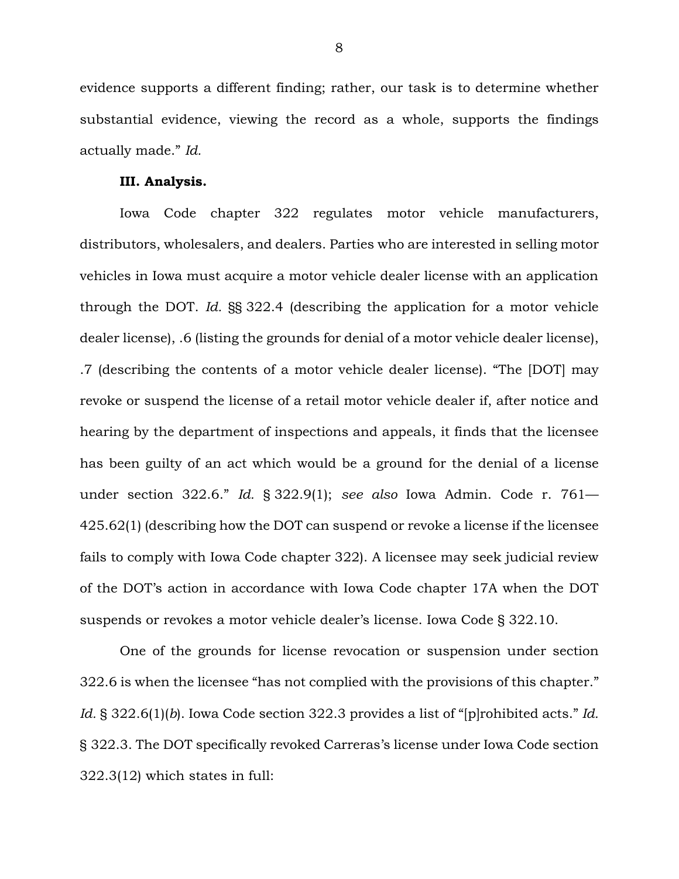evidence supports a different finding; rather, our task is to determine whether substantial evidence, viewing the record as a whole, supports the findings actually made." *Id.* 

#### **III. Analysis.**

Iowa Code chapter 322 regulates motor vehicle manufacturers, distributors, wholesalers, and dealers. Parties who are interested in selling motor vehicles in Iowa must acquire a motor vehicle dealer license with an application through the DOT. *Id.* §§ 322.4 (describing the application for a motor vehicle dealer license), .6 (listing the grounds for denial of a motor vehicle dealer license), .7 (describing the contents of a motor vehicle dealer license). "The [DOT] may revoke or suspend the license of a retail motor vehicle dealer if, after notice and hearing by the department of inspections and appeals, it finds that the licensee has been guilty of an act which would be a ground for the denial of a license under section 322.6." *Id.* § 322.9(1); *see also* Iowa Admin. Code r. 761— 425.62(1) (describing how the DOT can suspend or revoke a license if the licensee fails to comply with Iowa Code chapter 322). A licensee may seek judicial review of the DOT's action in accordance with Iowa Code chapter 17A when the DOT suspends or revokes a motor vehicle dealer's license. Iowa Code § 322.10.

One of the grounds for license revocation or suspension under section 322.6 is when the licensee "has not complied with the provisions of this chapter." *Id.* § 322.6(1)(*b*). Iowa Code section 322.3 provides a list of "[p]rohibited acts." *Id.* § 322.3. The DOT specifically revoked Carreras's license under Iowa Code section 322.3(12) which states in full: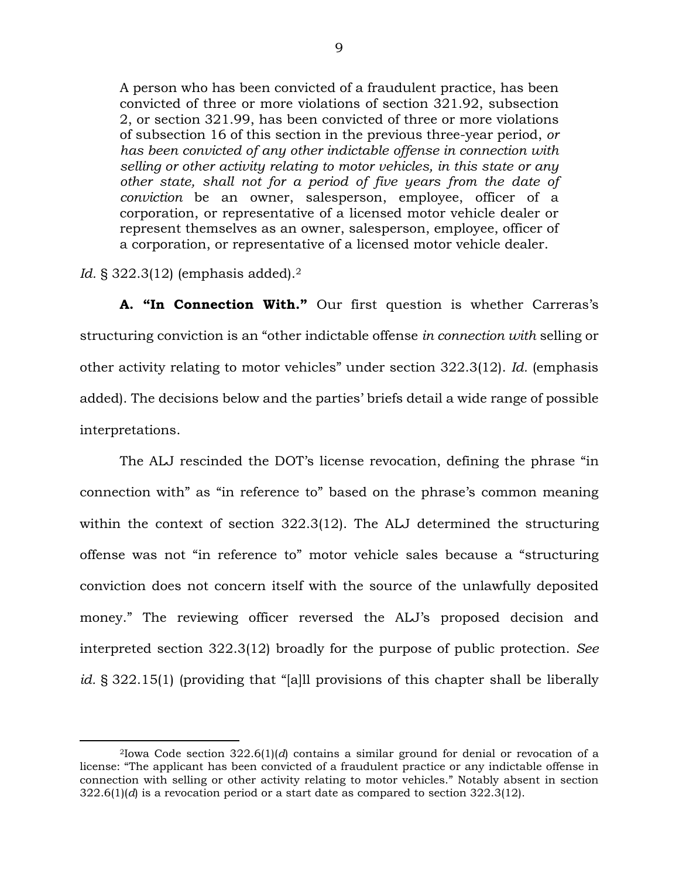A person who has been convicted of a fraudulent practice, has been convicted of three or more violations of section 321.92, subsection 2, or section 321.99, has been convicted of three or more violations of subsection 16 of this section in the previous three-year period, *or has been convicted of any other indictable offense in connection with selling or other activity relating to motor vehicles, in this state or any other state, shall not for a period of five years from the date of conviction* be an owner, salesperson, employee, officer of a corporation, or representative of a licensed motor vehicle dealer or represent themselves as an owner, salesperson, employee, officer of a corporation, or representative of a licensed motor vehicle dealer.

*Id.* § 322.3(12) (emphasis added).<sup>2</sup>

**A. "In Connection With."** Our first question is whether Carreras's structuring conviction is an "other indictable offense *in connection with* selling or other activity relating to motor vehicles" under section 322.3(12). *Id.* (emphasis added). The decisions below and the parties' briefs detail a wide range of possible interpretations.

The ALJ rescinded the DOT's license revocation, defining the phrase "in connection with" as "in reference to" based on the phrase's common meaning within the context of section 322.3(12). The ALJ determined the structuring offense was not "in reference to" motor vehicle sales because a "structuring conviction does not concern itself with the source of the unlawfully deposited money." The reviewing officer reversed the ALJ's proposed decision and interpreted section 322.3(12) broadly for the purpose of public protection. *See id.* § 322.15(1) (providing that "[a]ll provisions of this chapter shall be liberally

<sup>2</sup>Iowa Code section 322.6(1)(*d*) contains a similar ground for denial or revocation of a license: "The applicant has been convicted of a fraudulent practice or any indictable offense in connection with selling or other activity relating to motor vehicles." Notably absent in section  $322.6(1)(d)$  is a revocation period or a start date as compared to section  $322.3(12)$ .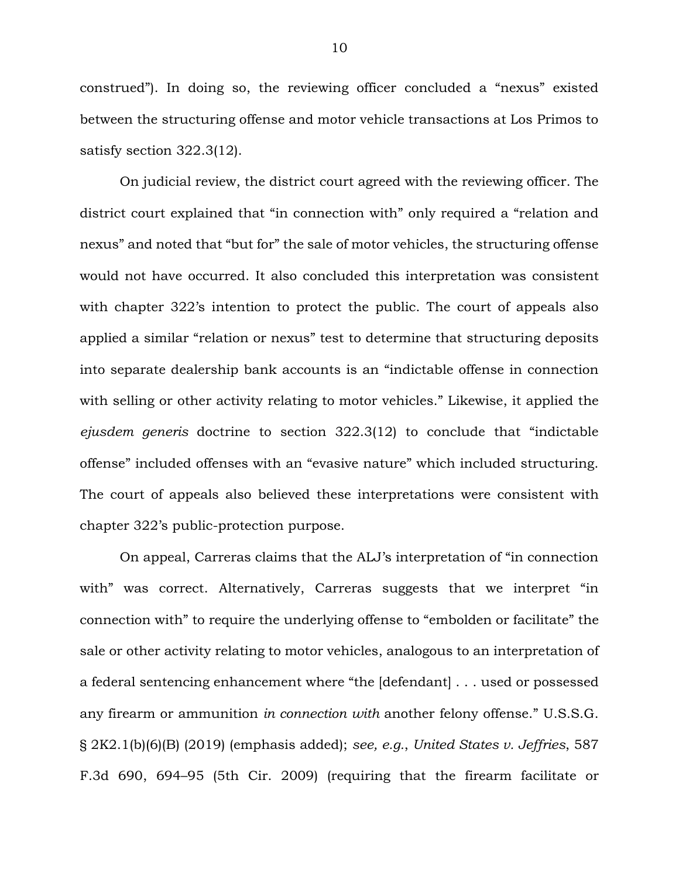construed"). In doing so, the reviewing officer concluded a "nexus" existed between the structuring offense and motor vehicle transactions at Los Primos to satisfy section 322.3(12).

On judicial review, the district court agreed with the reviewing officer. The district court explained that "in connection with" only required a "relation and nexus" and noted that "but for" the sale of motor vehicles, the structuring offense would not have occurred. It also concluded this interpretation was consistent with chapter 322's intention to protect the public. The court of appeals also applied a similar "relation or nexus" test to determine that structuring deposits into separate dealership bank accounts is an "indictable offense in connection with selling or other activity relating to motor vehicles." Likewise, it applied the *ejusdem generis* doctrine to section 322.3(12) to conclude that "indictable offense" included offenses with an "evasive nature" which included structuring. The court of appeals also believed these interpretations were consistent with chapter 322's public-protection purpose.

On appeal, Carreras claims that the ALJ's interpretation of "in connection with" was correct. Alternatively, Carreras suggests that we interpret "in connection with" to require the underlying offense to "embolden or facilitate" the sale or other activity relating to motor vehicles, analogous to an interpretation of a federal sentencing enhancement where "the [defendant] . . . used or possessed any firearm or ammunition *in connection with* another felony offense." U.S.S.G. § 2K2.1(b)(6)(B) (2019) (emphasis added); *see, e.g.*, *United States v. Jeffries*, 587 F.3d 690, 694–95 (5th Cir. 2009) (requiring that the firearm facilitate or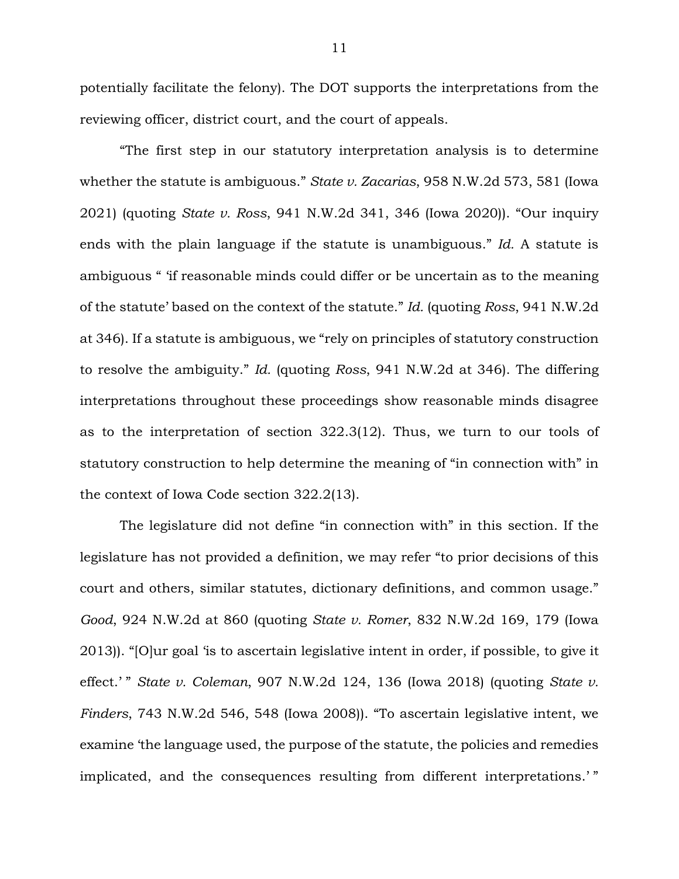potentially facilitate the felony). The DOT supports the interpretations from the reviewing officer, district court, and the court of appeals.

"The first step in our statutory interpretation analysis is to determine whether the statute is ambiguous." *State v. Zacarias*, 958 N.W.2d 573, 581 (Iowa 2021) (quoting *State v. Ross*, 941 N.W.2d 341, 346 (Iowa 2020)). "Our inquiry ends with the plain language if the statute is unambiguous." *Id.* A statute is ambiguous " 'if reasonable minds could differ or be uncertain as to the meaning of the statute' based on the context of the statute." *Id.* (quoting *Ross*, 941 N.W.2d at 346). If a statute is ambiguous, we "rely on principles of statutory construction to resolve the ambiguity." *Id.* (quoting *Ross*, 941 N.W.2d at 346). The differing interpretations throughout these proceedings show reasonable minds disagree as to the interpretation of section 322.3(12). Thus, we turn to our tools of statutory construction to help determine the meaning of "in connection with" in the context of Iowa Code section 322.2(13).

The legislature did not define "in connection with" in this section. If the legislature has not provided a definition, we may refer "to prior decisions of this court and others, similar statutes, dictionary definitions, and common usage." *Good*, 924 N.W.2d at 860 (quoting *State v. Romer*, 832 N.W.2d 169, 179 (Iowa 2013)). "[O]ur goal 'is to ascertain legislative intent in order, if possible, to give it effect.' " *State v. Coleman*, 907 N.W.2d 124, 136 (Iowa 2018) (quoting *State v. Finders*, 743 N.W.2d 546, 548 (Iowa 2008)). "To ascertain legislative intent, we examine 'the language used, the purpose of the statute, the policies and remedies implicated, and the consequences resulting from different interpretations.' "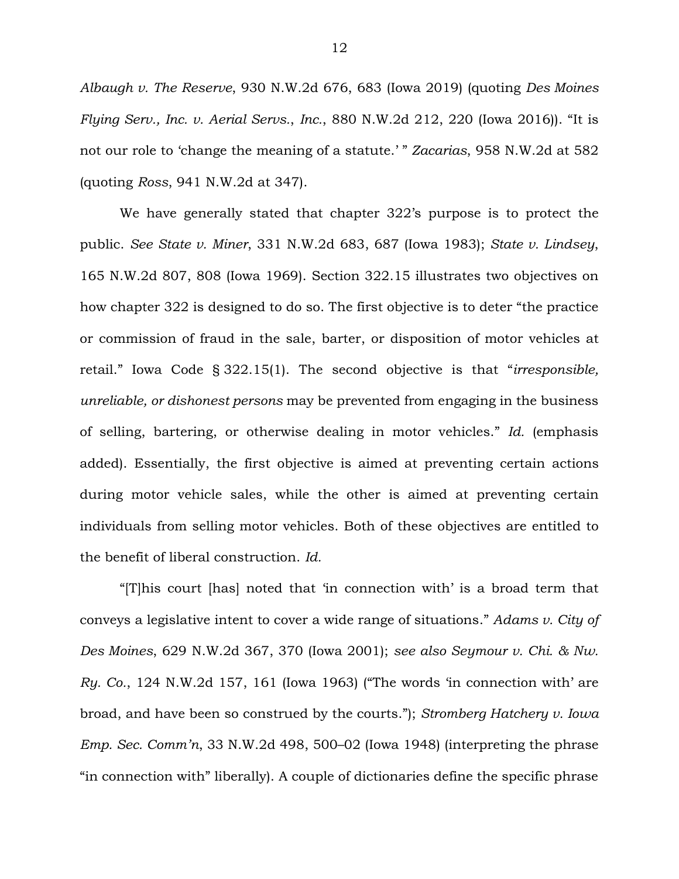*Albaugh v. The Reserve*, 930 N.W.2d 676, 683 (Iowa 2019) (quoting *Des Moines Flying Serv., Inc. v. Aerial Servs.*, *Inc.*, 880 N.W.2d 212, 220 (Iowa 2016)). "It is not our role to 'change the meaning of a statute.' " *Zacarias*, 958 N.W.2d at 582 (quoting *Ross*, 941 N.W.2d at 347).

We have generally stated that chapter 322's purpose is to protect the public. *See State v. Miner*, 331 N.W.2d 683, 687 (Iowa 1983); *State v. Lindsey*, 165 N.W.2d 807, 808 (Iowa 1969). Section 322.15 illustrates two objectives on how chapter 322 is designed to do so. The first objective is to deter "the practice or commission of fraud in the sale, barter, or disposition of motor vehicles at retail." Iowa Code § 322.15(1). The second objective is that "*irresponsible, unreliable, or dishonest persons* may be prevented from engaging in the business of selling, bartering, or otherwise dealing in motor vehicles." *Id.* (emphasis added). Essentially, the first objective is aimed at preventing certain actions during motor vehicle sales, while the other is aimed at preventing certain individuals from selling motor vehicles. Both of these objectives are entitled to the benefit of liberal construction. *Id.*

"[T]his court [has] noted that 'in connection with' is a broad term that conveys a legislative intent to cover a wide range of situations." *Adams v. City of Des Moines*, 629 N.W.2d 367, 370 (Iowa 2001); *see also Seymour v. Chi. & Nw. Ry. Co.*, 124 N.W.2d 157, 161 (Iowa 1963) ("The words 'in connection with' are broad, and have been so construed by the courts."); *Stromberg Hatchery v. Iowa Emp. Sec. Comm'n*, 33 N.W.2d 498, 500–02 (Iowa 1948) (interpreting the phrase "in connection with" liberally). A couple of dictionaries define the specific phrase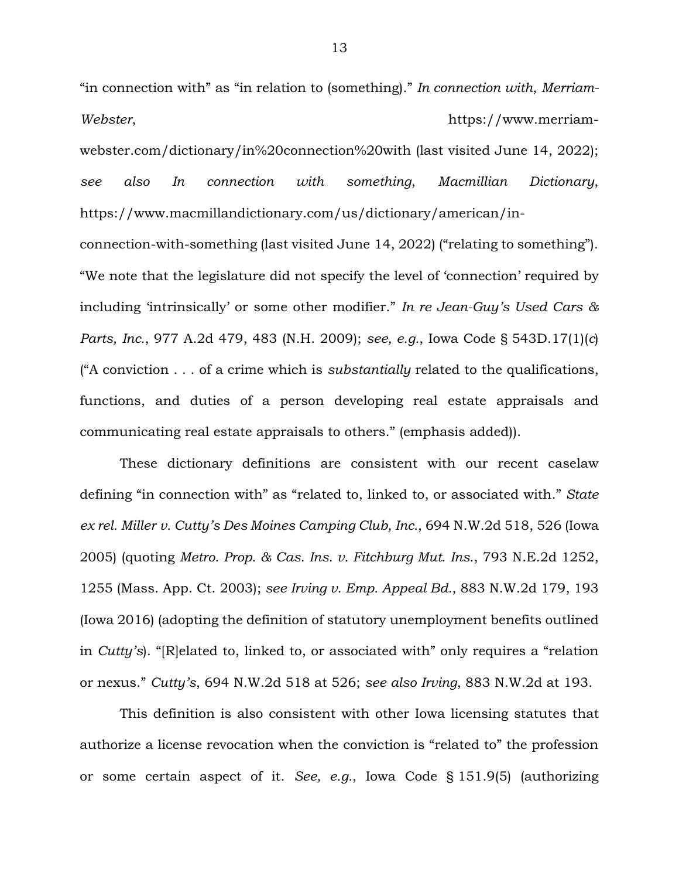"in connection with" as "in relation to (something)." *In connection with*, *Merriam-Webster*, https://www.merriam-

webster.com/dictionary/in%20connection%20with (last visited June 14, 2022); *see also In connection with something*, *Macmillian Dictionary*, https://www.macmillandictionary.com/us/dictionary/american/in-

connection-with-something (last visited June 14, 2022) ("relating to something"). "We note that the legislature did not specify the level of 'connection' required by including 'intrinsically' or some other modifier." *In re Jean-Guy's Used Cars & Parts, Inc.*, 977 A.2d 479, 483 (N.H. 2009); *see, e.g.*, Iowa Code § 543D.17(1)(*c*) ("A conviction . . . of a crime which is *substantially* related to the qualifications, functions, and duties of a person developing real estate appraisals and communicating real estate appraisals to others." (emphasis added)).

These dictionary definitions are consistent with our recent caselaw defining "in connection with" as "related to, linked to, or associated with." *State ex rel. Miller v. Cutty's Des Moines Camping Club, Inc.*, 694 N.W.2d 518, 526 (Iowa 2005) (quoting *Metro. Prop. & Cas. Ins. v. Fitchburg Mut. Ins.*, 793 N.E.2d 1252, 1255 (Mass. App. Ct. 2003); *see Irving v. Emp. Appeal Bd.*, 883 N.W.2d 179, 193 (Iowa 2016) (adopting the definition of statutory unemployment benefits outlined in *Cutty's*). "[R]elated to, linked to, or associated with" only requires a "relation or nexus." *Cutty's*, 694 N.W.2d 518 at 526; *see also Irving*, 883 N.W.2d at 193.

This definition is also consistent with other Iowa licensing statutes that authorize a license revocation when the conviction is "related to" the profession or some certain aspect of it. *See, e.g.*, Iowa Code § 151.9(5) (authorizing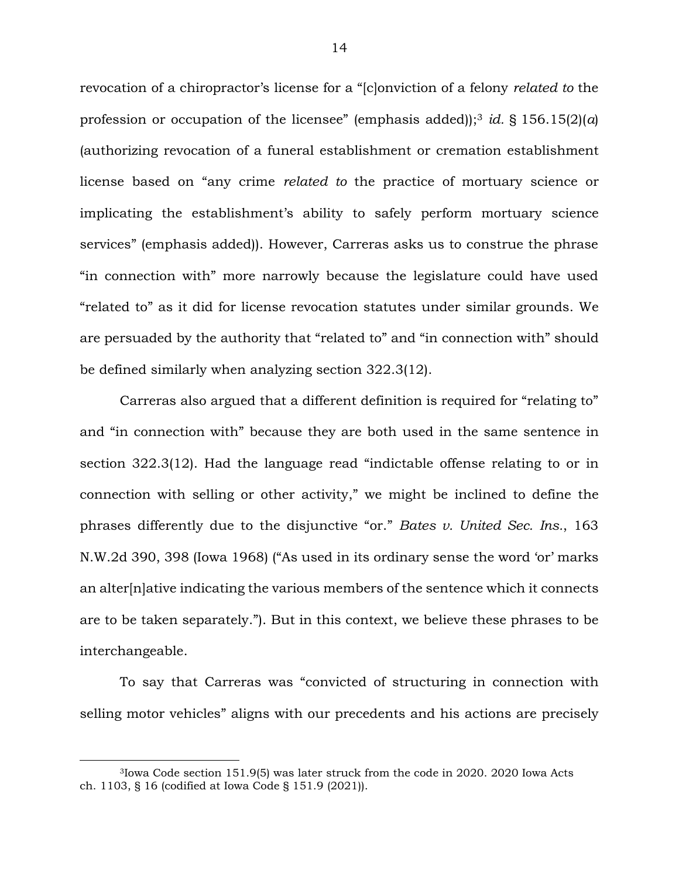revocation of a chiropractor's license for a "[c]onviction of a felony *related to* the profession or occupation of the licensee" (emphasis added));<sup>3</sup> *id.* § 156.15(2)(*a*) (authorizing revocation of a funeral establishment or cremation establishment license based on "any crime *related to* the practice of mortuary science or implicating the establishment's ability to safely perform mortuary science services" (emphasis added)). However, Carreras asks us to construe the phrase "in connection with" more narrowly because the legislature could have used "related to" as it did for license revocation statutes under similar grounds. We are persuaded by the authority that "related to" and "in connection with" should be defined similarly when analyzing section 322.3(12).

Carreras also argued that a different definition is required for "relating to" and "in connection with" because they are both used in the same sentence in section 322.3(12). Had the language read "indictable offense relating to or in connection with selling or other activity," we might be inclined to define the phrases differently due to the disjunctive "or." *Bates v. United Sec. Ins.*, 163 N.W.2d 390, 398 (Iowa 1968) ("As used in its ordinary sense the word 'or' marks an alter[n]ative indicating the various members of the sentence which it connects are to be taken separately."). But in this context, we believe these phrases to be interchangeable.

To say that Carreras was "convicted of structuring in connection with selling motor vehicles" aligns with our precedents and his actions are precisely

<sup>3</sup>Iowa Code section 151.9(5) was later struck from the code in 2020. 2020 Iowa Acts ch. 1103, § 16 (codified at Iowa Code § 151.9 (2021)).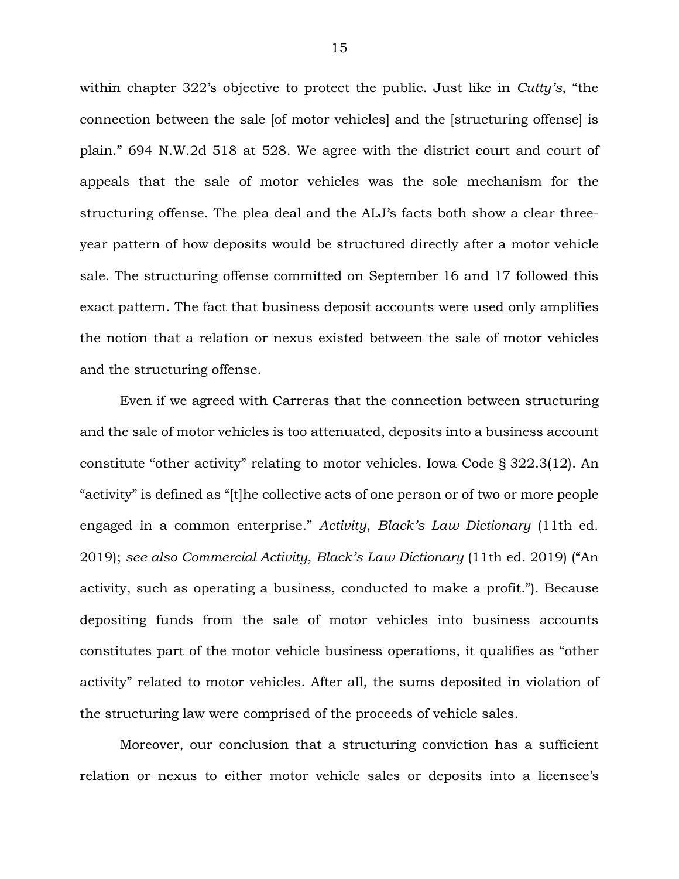within chapter 322's objective to protect the public. Just like in *Cutty's*, "the connection between the sale [of motor vehicles] and the [structuring offense] is plain." 694 N.W.2d 518 at 528. We agree with the district court and court of appeals that the sale of motor vehicles was the sole mechanism for the structuring offense. The plea deal and the ALJ's facts both show a clear threeyear pattern of how deposits would be structured directly after a motor vehicle sale. The structuring offense committed on September 16 and 17 followed this exact pattern. The fact that business deposit accounts were used only amplifies the notion that a relation or nexus existed between the sale of motor vehicles and the structuring offense.

Even if we agreed with Carreras that the connection between structuring and the sale of motor vehicles is too attenuated, deposits into a business account constitute "other activity" relating to motor vehicles. Iowa Code § 322.3(12). An "activity" is defined as "[t]he collective acts of one person or of two or more people engaged in a common enterprise." *Activity*, *Black's Law Dictionary* (11th ed. 2019); *see also Commercial Activity*, *Black's Law Dictionary* (11th ed. 2019) ("An activity, such as operating a business, conducted to make a profit."). Because depositing funds from the sale of motor vehicles into business accounts constitutes part of the motor vehicle business operations, it qualifies as "other activity" related to motor vehicles. After all, the sums deposited in violation of the structuring law were comprised of the proceeds of vehicle sales.

Moreover, our conclusion that a structuring conviction has a sufficient relation or nexus to either motor vehicle sales or deposits into a licensee's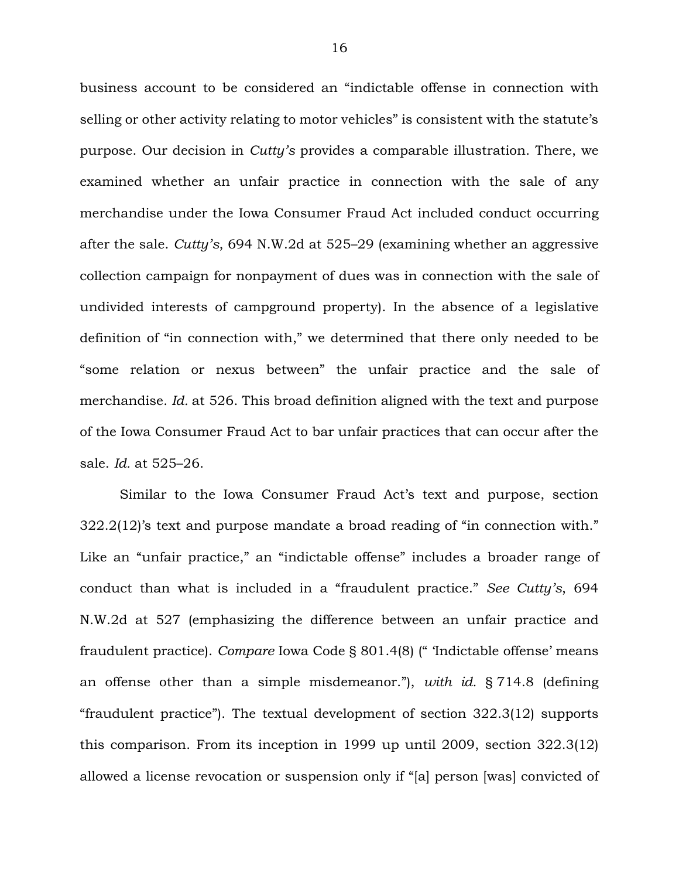business account to be considered an "indictable offense in connection with selling or other activity relating to motor vehicles" is consistent with the statute's purpose. Our decision in *Cutty's* provides a comparable illustration. There, we examined whether an unfair practice in connection with the sale of any merchandise under the Iowa Consumer Fraud Act included conduct occurring after the sale. *Cutty's*, 694 N.W.2d at 525–29 (examining whether an aggressive collection campaign for nonpayment of dues was in connection with the sale of undivided interests of campground property). In the absence of a legislative definition of "in connection with," we determined that there only needed to be "some relation or nexus between" the unfair practice and the sale of merchandise. *Id.* at 526. This broad definition aligned with the text and purpose of the Iowa Consumer Fraud Act to bar unfair practices that can occur after the sale. *Id.* at 525–26.

Similar to the Iowa Consumer Fraud Act's text and purpose, section 322.2(12)'s text and purpose mandate a broad reading of "in connection with." Like an "unfair practice," an "indictable offense" includes a broader range of conduct than what is included in a "fraudulent practice." *See Cutty's*, 694 N.W.2d at 527 (emphasizing the difference between an unfair practice and fraudulent practice). *Compare* Iowa Code § 801.4(8) (" 'Indictable offense' means an offense other than a simple misdemeanor."), *with id.* § 714.8 (defining "fraudulent practice"). The textual development of section 322.3(12) supports this comparison. From its inception in 1999 up until 2009, section 322.3(12) allowed a license revocation or suspension only if "[a] person [was] convicted of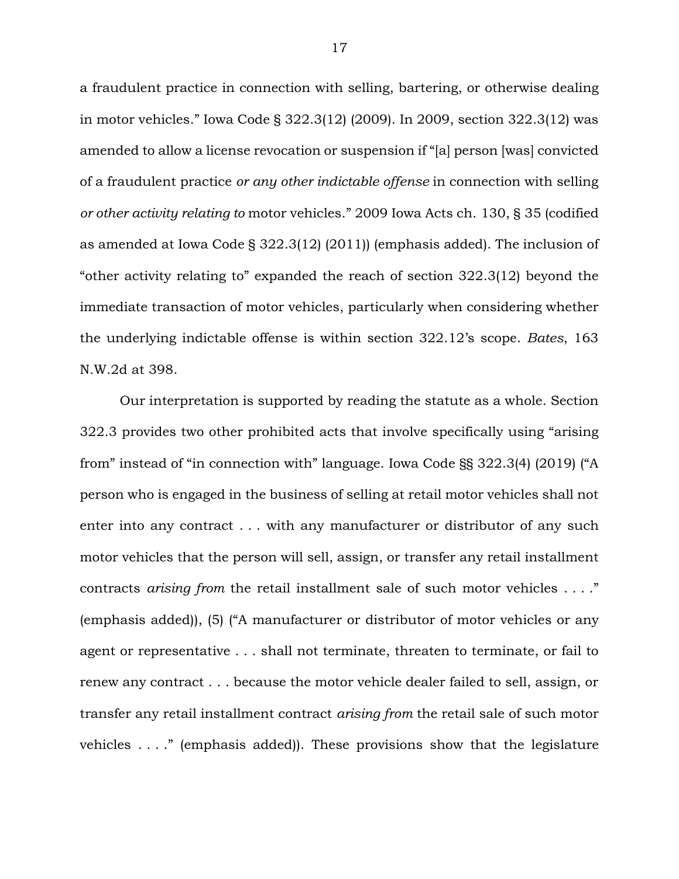a fraudulent practice in connection with selling, bartering, or otherwise dealing in motor vehicles." Iowa Code § 322.3(12) (2009). In 2009, section 322.3(12) was amended to allow a license revocation or suspension if "[a] person [was] convicted of a fraudulent practice *or any other indictable offense* in connection with selling *or other activity relating to* motor vehicles." 2009 Iowa Acts ch. 130, § 35 (codified as amended at Iowa Code § 322.3(12) (2011)) (emphasis added). The inclusion of "other activity relating to" expanded the reach of section 322.3(12) beyond the immediate transaction of motor vehicles, particularly when considering whether the underlying indictable offense is within section 322.12's scope. *Bates*, 163 N.W.2d at 398.

Our interpretation is supported by reading the statute as a whole. Section 322.3 provides two other prohibited acts that involve specifically using "arising from" instead of "in connection with" language. Iowa Code §§ 322.3(4) (2019) ("A person who is engaged in the business of selling at retail motor vehicles shall not enter into any contract . . . with any manufacturer or distributor of any such motor vehicles that the person will sell, assign, or transfer any retail installment contracts *arising from* the retail installment sale of such motor vehicles . . . ." (emphasis added)), (5) ("A manufacturer or distributor of motor vehicles or any agent or representative . . . shall not terminate, threaten to terminate, or fail to renew any contract . . . because the motor vehicle dealer failed to sell, assign, or transfer any retail installment contract *arising from* the retail sale of such motor vehicles . . . ." (emphasis added)). These provisions show that the legislature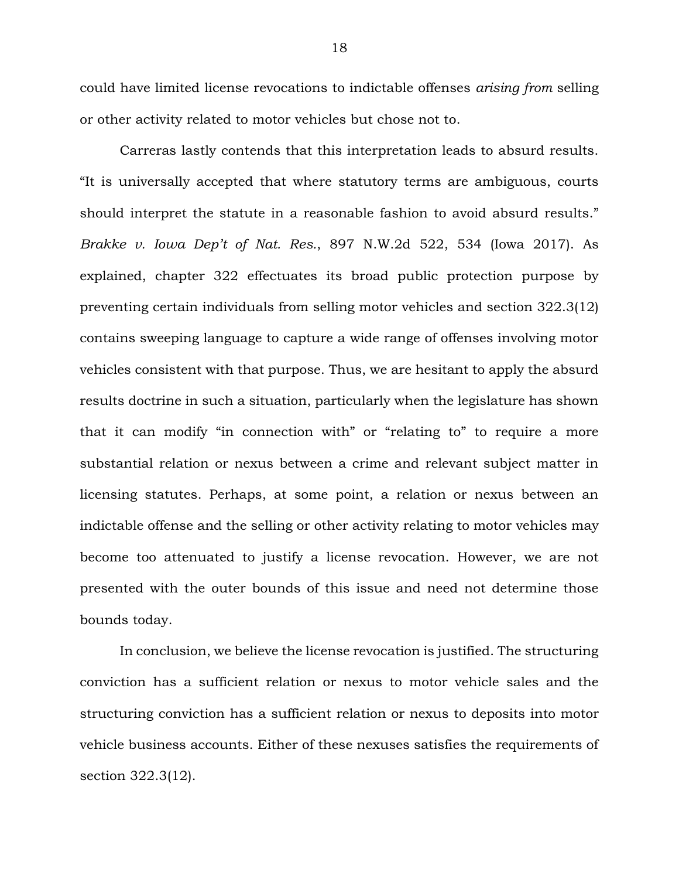could have limited license revocations to indictable offenses *arising from* selling or other activity related to motor vehicles but chose not to.

Carreras lastly contends that this interpretation leads to absurd results. "It is universally accepted that where statutory terms are ambiguous, courts should interpret the statute in a reasonable fashion to avoid absurd results." *Brakke v. Iowa Dep't of Nat. Res.*, 897 N.W.2d 522, 534 (Iowa 2017). As explained, chapter 322 effectuates its broad public protection purpose by preventing certain individuals from selling motor vehicles and section 322.3(12) contains sweeping language to capture a wide range of offenses involving motor vehicles consistent with that purpose. Thus, we are hesitant to apply the absurd results doctrine in such a situation, particularly when the legislature has shown that it can modify "in connection with" or "relating to" to require a more substantial relation or nexus between a crime and relevant subject matter in licensing statutes. Perhaps, at some point, a relation or nexus between an indictable offense and the selling or other activity relating to motor vehicles may become too attenuated to justify a license revocation. However, we are not presented with the outer bounds of this issue and need not determine those bounds today.

In conclusion, we believe the license revocation is justified. The structuring conviction has a sufficient relation or nexus to motor vehicle sales and the structuring conviction has a sufficient relation or nexus to deposits into motor vehicle business accounts. Either of these nexuses satisfies the requirements of section 322.3(12).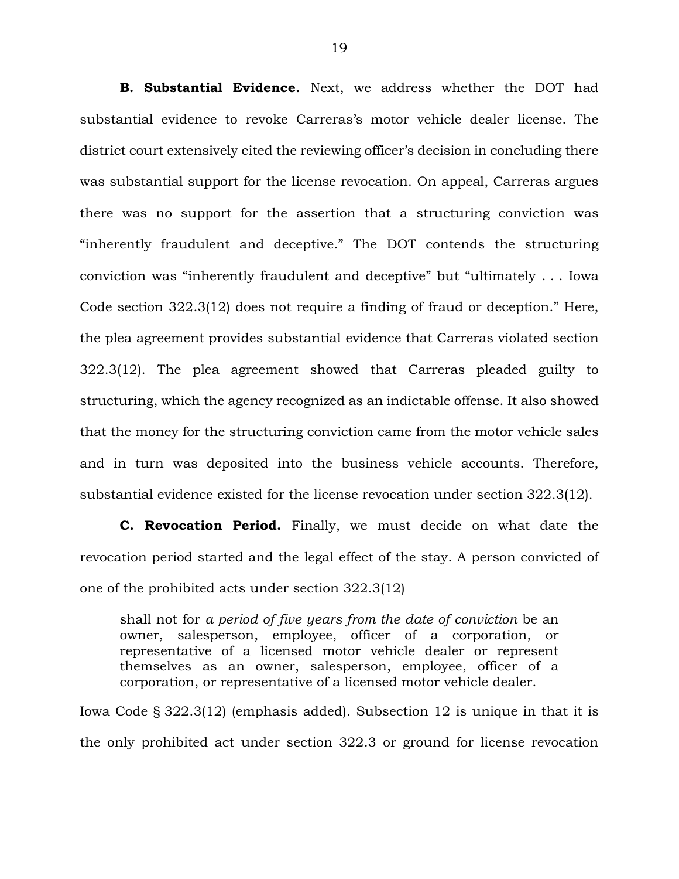**B. Substantial Evidence.** Next, we address whether the DOT had substantial evidence to revoke Carreras's motor vehicle dealer license. The district court extensively cited the reviewing officer's decision in concluding there was substantial support for the license revocation. On appeal, Carreras argues there was no support for the assertion that a structuring conviction was "inherently fraudulent and deceptive." The DOT contends the structuring conviction was "inherently fraudulent and deceptive" but "ultimately . . . Iowa Code section 322.3(12) does not require a finding of fraud or deception." Here, the plea agreement provides substantial evidence that Carreras violated section 322.3(12). The plea agreement showed that Carreras pleaded guilty to structuring, which the agency recognized as an indictable offense. It also showed that the money for the structuring conviction came from the motor vehicle sales and in turn was deposited into the business vehicle accounts. Therefore, substantial evidence existed for the license revocation under section 322.3(12).

**C. Revocation Period.** Finally, we must decide on what date the revocation period started and the legal effect of the stay. A person convicted of one of the prohibited acts under section 322.3(12)

shall not for *a period of five years from the date of conviction* be an owner, salesperson, employee, officer of a corporation, or representative of a licensed motor vehicle dealer or represent themselves as an owner, salesperson, employee, officer of a corporation, or representative of a licensed motor vehicle dealer.

Iowa Code § 322.3(12) (emphasis added). Subsection 12 is unique in that it is the only prohibited act under section 322.3 or ground for license revocation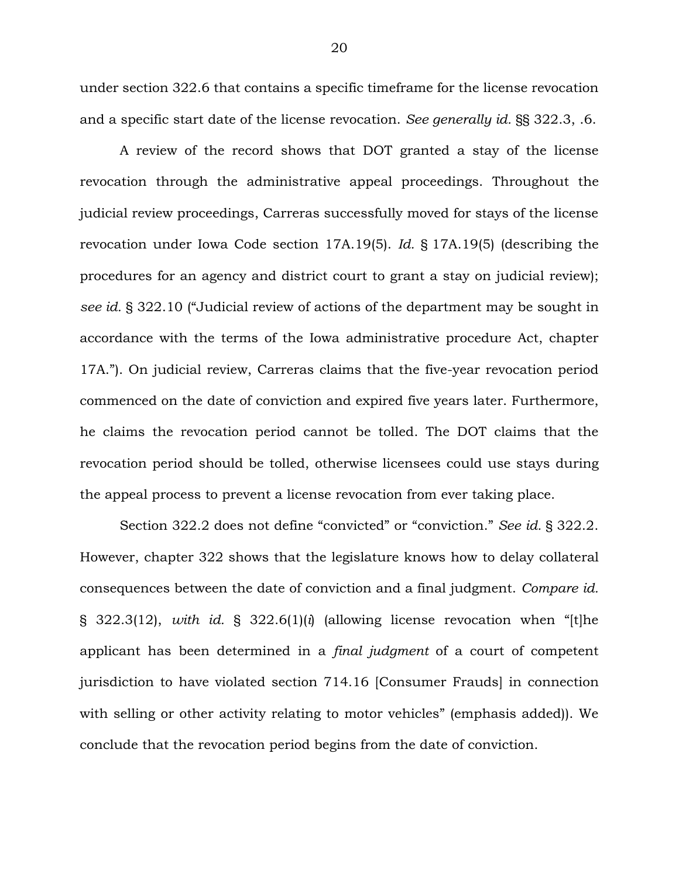under section 322.6 that contains a specific timeframe for the license revocation and a specific start date of the license revocation. *See generally id.* §§ 322.3, .6.

A review of the record shows that DOT granted a stay of the license revocation through the administrative appeal proceedings. Throughout the judicial review proceedings, Carreras successfully moved for stays of the license revocation under Iowa Code section 17A.19(5). *Id.* § 17A.19(5) (describing the procedures for an agency and district court to grant a stay on judicial review); *see id.* § 322.10 ("Judicial review of actions of the department may be sought in accordance with the terms of the Iowa administrative procedure Act, chapter 17A."). On judicial review, Carreras claims that the five-year revocation period commenced on the date of conviction and expired five years later. Furthermore, he claims the revocation period cannot be tolled. The DOT claims that the revocation period should be tolled, otherwise licensees could use stays during the appeal process to prevent a license revocation from ever taking place.

Section 322.2 does not define "convicted" or "conviction." *See id.* § 322.2. However, chapter 322 shows that the legislature knows how to delay collateral consequences between the date of conviction and a final judgment. *Compare id.*  § 322.3(12), *with id.* § 322.6(1)(*i*) (allowing license revocation when "[t]he applicant has been determined in a *final judgment* of a court of competent jurisdiction to have violated section 714.16 [Consumer Frauds] in connection with selling or other activity relating to motor vehicles" (emphasis added)). We conclude that the revocation period begins from the date of conviction.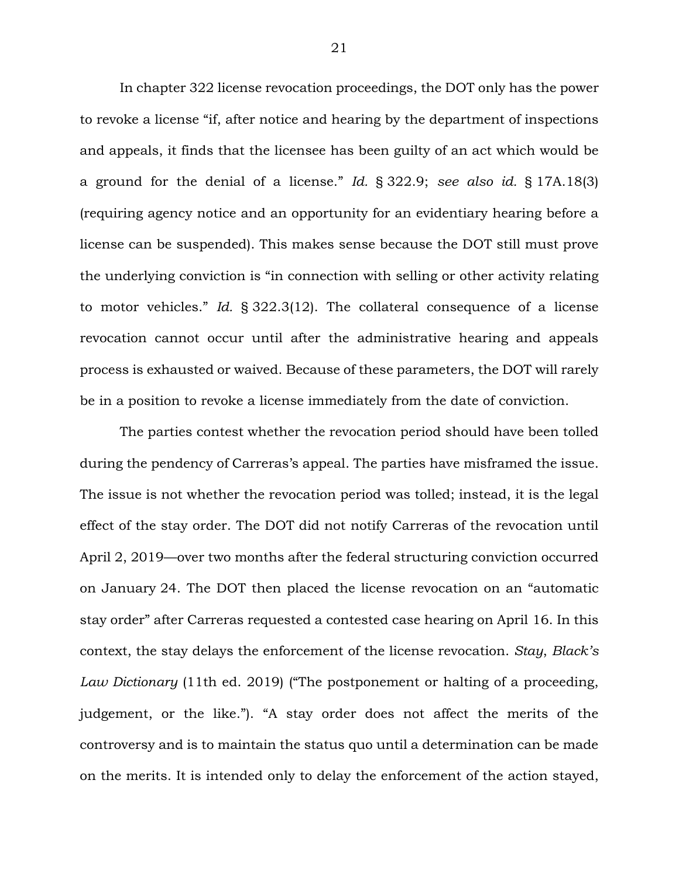In chapter 322 license revocation proceedings, the DOT only has the power to revoke a license "if, after notice and hearing by the department of inspections and appeals, it finds that the licensee has been guilty of an act which would be a ground for the denial of a license." *Id.* § 322.9; *see also id.* § 17A.18(3) (requiring agency notice and an opportunity for an evidentiary hearing before a license can be suspended). This makes sense because the DOT still must prove the underlying conviction is "in connection with selling or other activity relating to motor vehicles." *Id.* § 322.3(12). The collateral consequence of a license revocation cannot occur until after the administrative hearing and appeals process is exhausted or waived. Because of these parameters, the DOT will rarely be in a position to revoke a license immediately from the date of conviction.

The parties contest whether the revocation period should have been tolled during the pendency of Carreras's appeal. The parties have misframed the issue. The issue is not whether the revocation period was tolled; instead, it is the legal effect of the stay order. The DOT did not notify Carreras of the revocation until April 2, 2019—over two months after the federal structuring conviction occurred on January 24. The DOT then placed the license revocation on an "automatic stay order" after Carreras requested a contested case hearing on April 16. In this context, the stay delays the enforcement of the license revocation. *Stay*, *Black's Law Dictionary* (11th ed. 2019) ("The postponement or halting of a proceeding, judgement, or the like."). "A stay order does not affect the merits of the controversy and is to maintain the status quo until a determination can be made on the merits. It is intended only to delay the enforcement of the action stayed,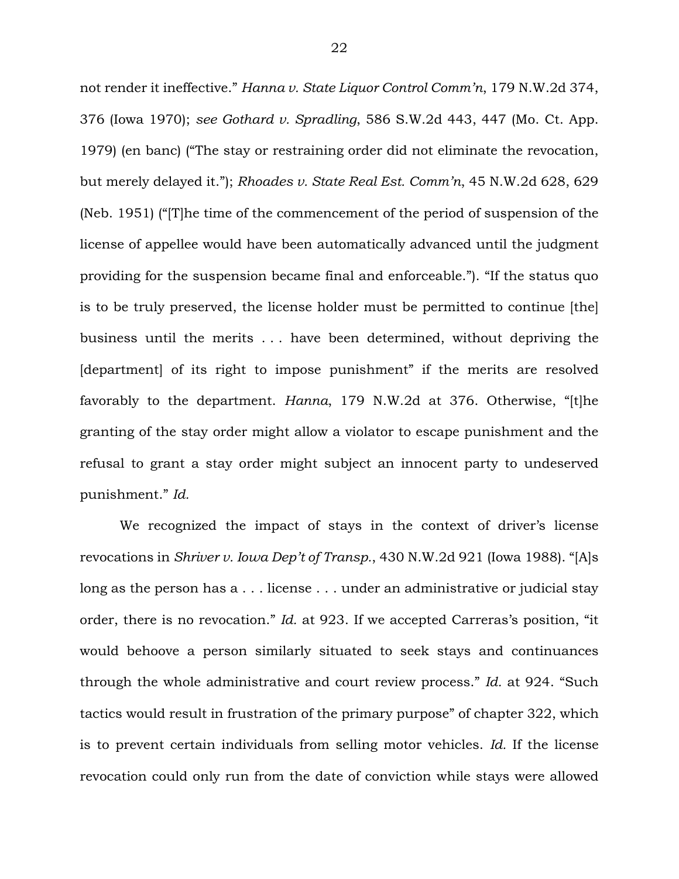not render it ineffective." *Hanna v. State Liquor Control Comm'n*, 179 N.W.2d 374, 376 (Iowa 1970); *see Gothard v. Spradling*, 586 S.W.2d 443, 447 (Mo. Ct. App. 1979) (en banc) ("The stay or restraining order did not eliminate the revocation, but merely delayed it."); *Rhoades v. State Real Est. Comm'n*, 45 N.W.2d 628, 629 (Neb. 1951) ("[T]he time of the commencement of the period of suspension of the license of appellee would have been automatically advanced until the judgment providing for the suspension became final and enforceable."). "If the status quo is to be truly preserved, the license holder must be permitted to continue [the] business until the merits . . . have been determined, without depriving the [department] of its right to impose punishment" if the merits are resolved favorably to the department. *Hanna*, 179 N.W.2d at 376. Otherwise, "[t]he granting of the stay order might allow a violator to escape punishment and the refusal to grant a stay order might subject an innocent party to undeserved punishment." *Id.* 

We recognized the impact of stays in the context of driver's license revocations in *Shriver v. Iowa Dep't of Transp.*, 430 N.W.2d 921 (Iowa 1988). "[A]s long as the person has a . . . license . . . under an administrative or judicial stay order, there is no revocation." *Id.* at 923. If we accepted Carreras's position, "it would behoove a person similarly situated to seek stays and continuances through the whole administrative and court review process." *Id.* at 924. "Such tactics would result in frustration of the primary purpose" of chapter 322, which is to prevent certain individuals from selling motor vehicles. *Id.* If the license revocation could only run from the date of conviction while stays were allowed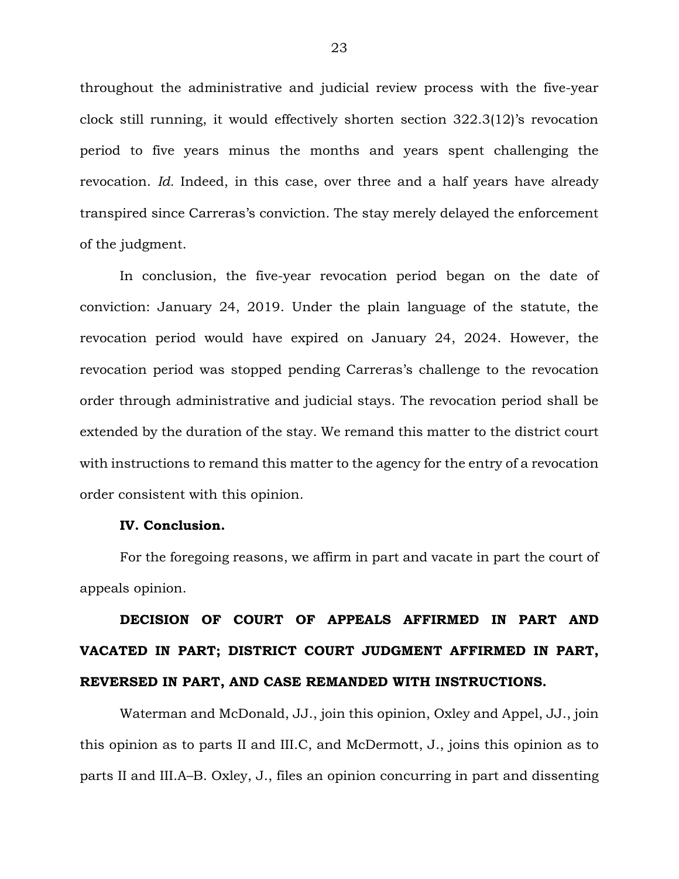throughout the administrative and judicial review process with the five-year clock still running, it would effectively shorten section 322.3(12)'s revocation period to five years minus the months and years spent challenging the revocation. *Id.* Indeed, in this case, over three and a half years have already transpired since Carreras's conviction. The stay merely delayed the enforcement of the judgment.

In conclusion, the five-year revocation period began on the date of conviction: January 24, 2019. Under the plain language of the statute, the revocation period would have expired on January 24, 2024. However, the revocation period was stopped pending Carreras's challenge to the revocation order through administrative and judicial stays. The revocation period shall be extended by the duration of the stay. We remand this matter to the district court with instructions to remand this matter to the agency for the entry of a revocation order consistent with this opinion.

#### **IV. Conclusion.**

For the foregoing reasons, we affirm in part and vacate in part the court of appeals opinion.

# **DECISION OF COURT OF APPEALS AFFIRMED IN PART AND VACATED IN PART; DISTRICT COURT JUDGMENT AFFIRMED IN PART, REVERSED IN PART, AND CASE REMANDED WITH INSTRUCTIONS.**

Waterman and McDonald, JJ., join this opinion, Oxley and Appel, JJ., join this opinion as to parts II and III.C, and McDermott, J., joins this opinion as to parts II and III.A–B. Oxley, J., files an opinion concurring in part and dissenting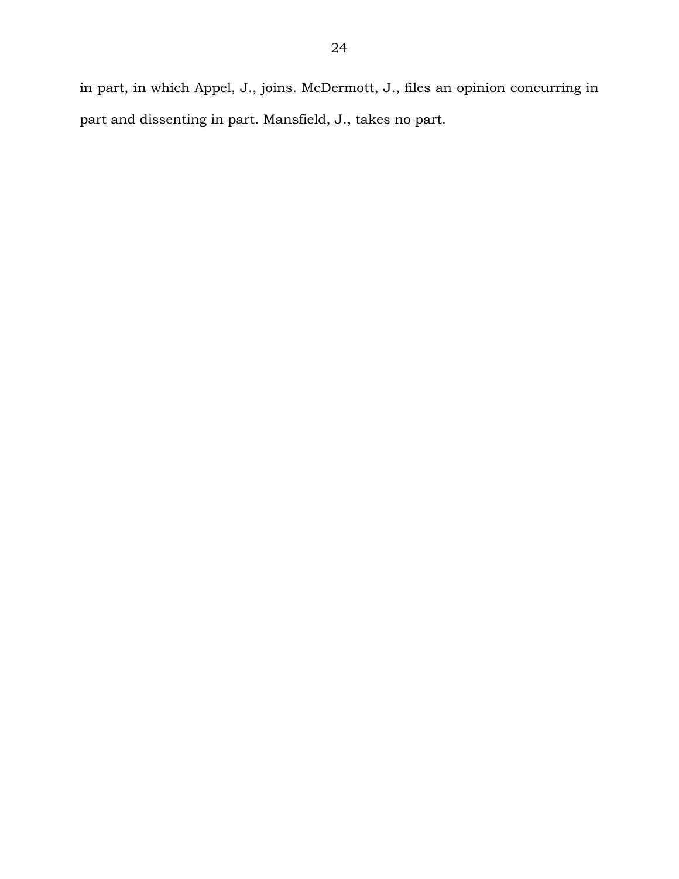in part, in which Appel, J., joins. McDermott, J., files an opinion concurring in part and dissenting in part. Mansfield, J., takes no part.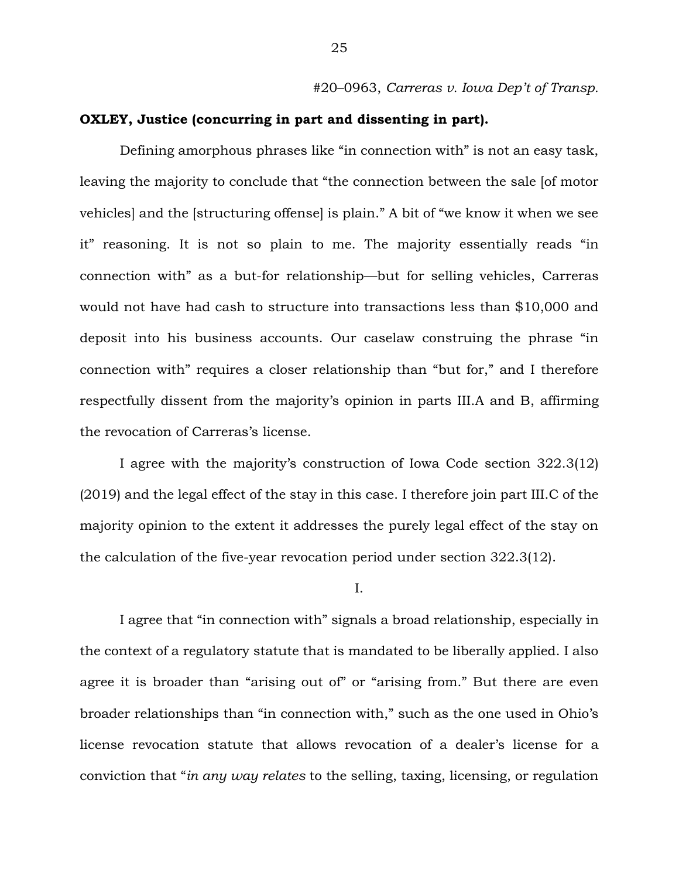#20–0963, *Carreras v. Iowa Dep't of Transp.* 

# **OXLEY, Justice (concurring in part and dissenting in part).**

Defining amorphous phrases like "in connection with" is not an easy task, leaving the majority to conclude that "the connection between the sale [of motor vehicles] and the [structuring offense] is plain." A bit of "we know it when we see it" reasoning. It is not so plain to me. The majority essentially reads "in connection with" as a but-for relationship—but for selling vehicles, Carreras would not have had cash to structure into transactions less than \$10,000 and deposit into his business accounts. Our caselaw construing the phrase "in connection with" requires a closer relationship than "but for," and I therefore respectfully dissent from the majority's opinion in parts III.A and B, affirming the revocation of Carreras's license.

I agree with the majority's construction of Iowa Code section 322.3(12) (2019) and the legal effect of the stay in this case. I therefore join part III.C of the majority opinion to the extent it addresses the purely legal effect of the stay on the calculation of the five-year revocation period under section 322.3(12).

I.

I agree that "in connection with" signals a broad relationship, especially in the context of a regulatory statute that is mandated to be liberally applied. I also agree it is broader than "arising out of" or "arising from." But there are even broader relationships than "in connection with," such as the one used in Ohio's license revocation statute that allows revocation of a dealer's license for a conviction that "*in any way relates* to the selling, taxing, licensing, or regulation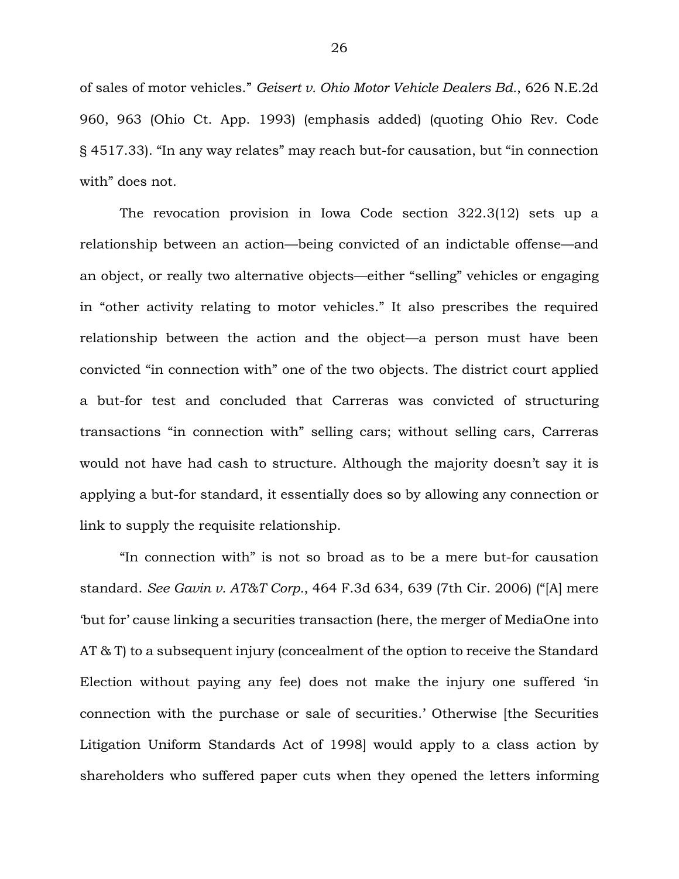of sales of motor vehicles." *Geisert v. Ohio Motor Vehicle Dealers Bd.*, 626 N.E.2d 960, 963 (Ohio Ct. App. 1993) (emphasis added) (quoting Ohio Rev. Code § 4517.33). "In any way relates" may reach but-for causation, but "in connection with" does not.

The revocation provision in Iowa Code section 322.3(12) sets up a relationship between an action—being convicted of an indictable offense—and an object, or really two alternative objects—either "selling" vehicles or engaging in "other activity relating to motor vehicles." It also prescribes the required relationship between the action and the object—a person must have been convicted "in connection with" one of the two objects. The district court applied a but-for test and concluded that Carreras was convicted of structuring transactions "in connection with" selling cars; without selling cars, Carreras would not have had cash to structure. Although the majority doesn't say it is applying a but-for standard, it essentially does so by allowing any connection or link to supply the requisite relationship.

"In connection with" is not so broad as to be a mere but-for causation standard. *See Gavin v. AT&T Corp.*, 464 F.3d 634, 639 (7th Cir. 2006) ("[A] mere 'but for' cause linking a securities transaction (here, the merger of MediaOne into AT & T) to a subsequent injury (concealment of the option to receive the Standard Election without paying any fee) does not make the injury one suffered 'in connection with the purchase or sale of securities.' Otherwise [the Securities Litigation Uniform Standards Act of 1998] would apply to a class action by shareholders who suffered paper cuts when they opened the letters informing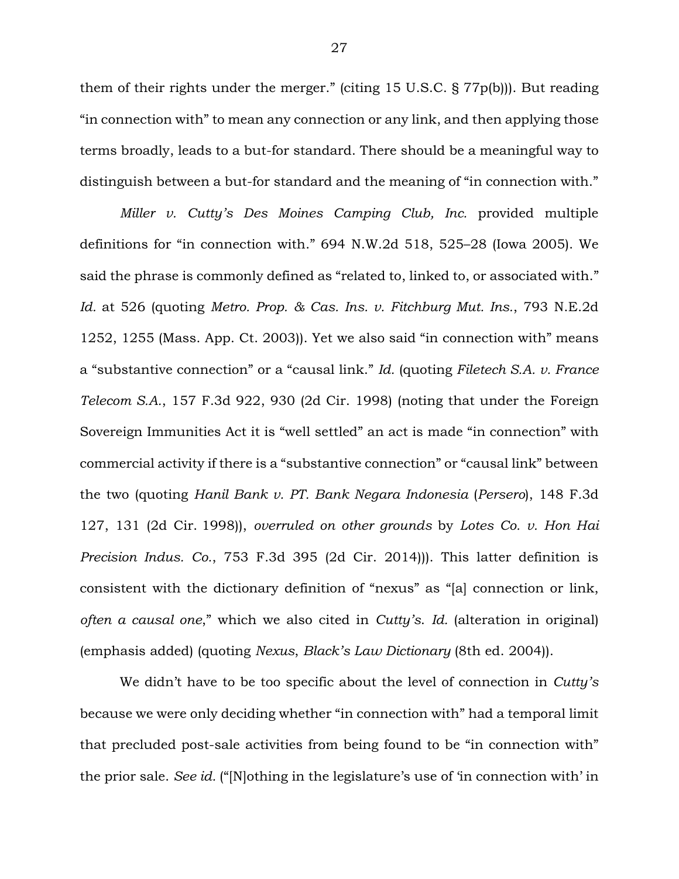them of their rights under the merger." (citing 15 U.S.C. § 77p(b))). But reading "in connection with" to mean any connection or any link, and then applying those terms broadly, leads to a but-for standard. There should be a meaningful way to distinguish between a but-for standard and the meaning of "in connection with."

*Miller v. Cutty's Des Moines Camping Club, Inc.* provided multiple definitions for "in connection with." 694 N.W.2d 518, 525–28 (Iowa 2005). We said the phrase is commonly defined as "related to, linked to, or associated with." *Id.* at 526 (quoting *Metro. Prop. & Cas. Ins. v. Fitchburg Mut. Ins.*, 793 N.E.2d 1252, 1255 (Mass. App. Ct. 2003)). Yet we also said "in connection with" means a "substantive connection" or a "causal link." *Id.* (quoting *Filetech S.A. v. France Telecom S.A.*, 157 F.3d 922, 930 (2d Cir. 1998) (noting that under the Foreign Sovereign Immunities Act it is "well settled" an act is made "in connection" with commercial activity if there is a "substantive connection" or "causal link" between the two (quoting *Hanil Bank v. PT. Bank Negara Indonesia* (*Persero*), 148 F.3d 127, 131 (2d Cir. 1998)), *overruled on other grounds* by *Lotes Co. v. Hon Hai Precision Indus. Co.*, 753 F.3d 395 (2d Cir. 2014))). This latter definition is consistent with the dictionary definition of "nexus" as "[a] connection or link, *often a causal one*," which we also cited in *Cutty's*. *Id.* (alteration in original) (emphasis added) (quoting *Nexus*, *Black's Law Dictionary* (8th ed. 2004)).

We didn't have to be too specific about the level of connection in *Cutty's* because we were only deciding whether "in connection with" had a temporal limit that precluded post-sale activities from being found to be "in connection with" the prior sale. *See id.* ("[N]othing in the legislature's use of 'in connection with' in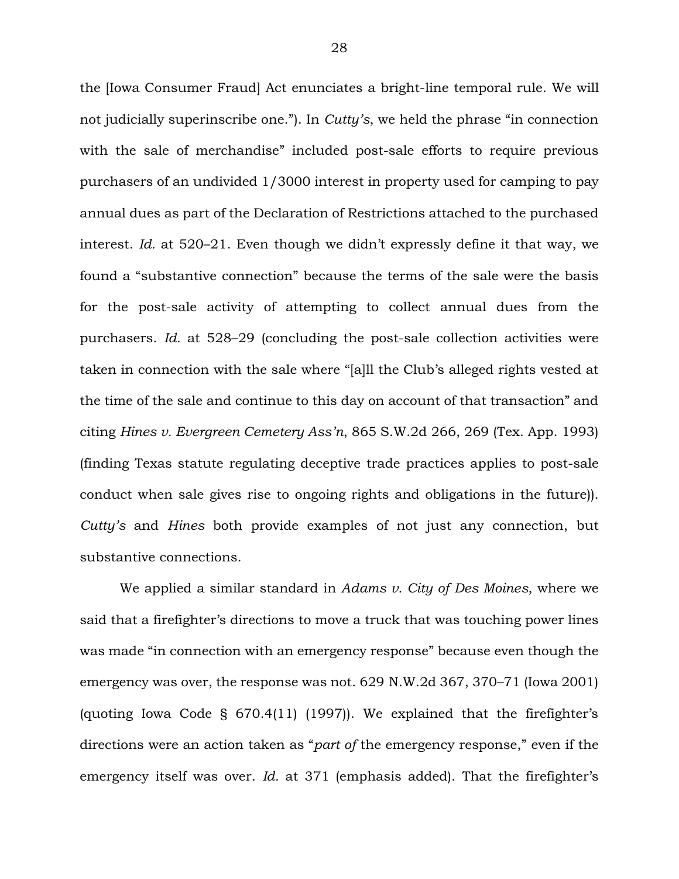the [Iowa Consumer Fraud] Act enunciates a bright-line temporal rule. We will not judicially superinscribe one."). In *Cutty's*, we held the phrase "in connection with the sale of merchandise" included post-sale efforts to require previous purchasers of an undivided 1/3000 interest in property used for camping to pay annual dues as part of the Declaration of Restrictions attached to the purchased interest. *Id.* at 520–21. Even though we didn't expressly define it that way, we found a "substantive connection" because the terms of the sale were the basis for the post-sale activity of attempting to collect annual dues from the purchasers. *Id.* at 528–29 (concluding the post-sale collection activities were taken in connection with the sale where "[a]ll the Club's alleged rights vested at the time of the sale and continue to this day on account of that transaction" and citing *Hines v. Evergreen Cemetery Ass'n*, 865 S.W.2d 266, 269 (Tex. App. 1993) (finding Texas statute regulating deceptive trade practices applies to post-sale conduct when sale gives rise to ongoing rights and obligations in the future)). *Cutty's* and *Hines* both provide examples of not just any connection, but substantive connections.

We applied a similar standard in *Adams v. City of Des Moines*, where we said that a firefighter's directions to move a truck that was touching power lines was made "in connection with an emergency response" because even though the emergency was over, the response was not. 629 N.W.2d 367, 370–71 (Iowa 2001) (quoting Iowa Code § 670.4(11) (1997)). We explained that the firefighter's directions were an action taken as "*part of* the emergency response," even if the emergency itself was over. *Id.* at 371 (emphasis added). That the firefighter's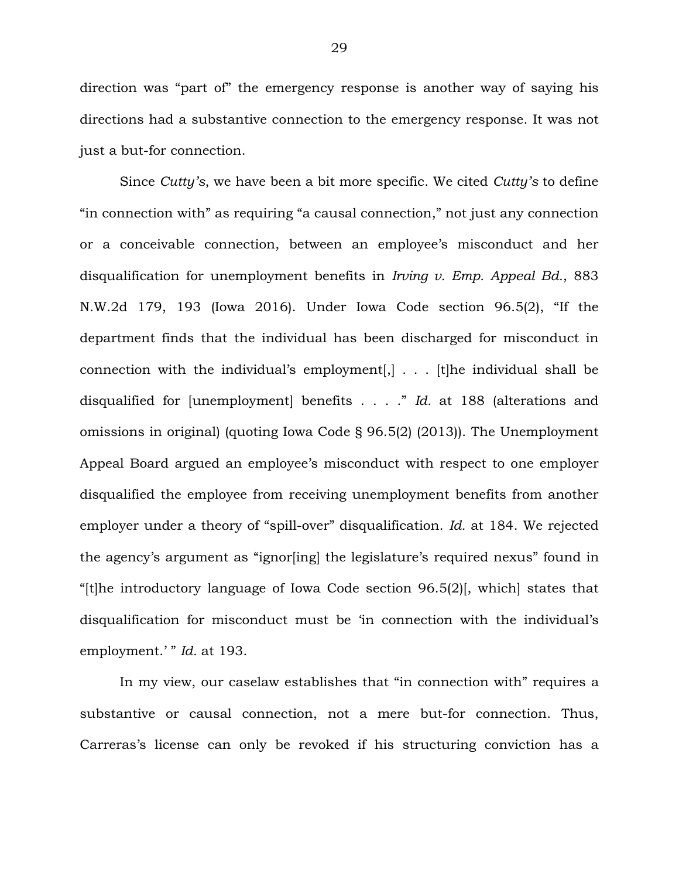direction was "part of" the emergency response is another way of saying his directions had a substantive connection to the emergency response. It was not just a but-for connection.

Since *Cutty's*, we have been a bit more specific. We cited *Cutty's* to define "in connection with" as requiring "a causal connection," not just any connection or a conceivable connection, between an employee's misconduct and her disqualification for unemployment benefits in *Irving v. Emp. Appeal Bd.*, 883 N.W.2d 179, 193 (Iowa 2016). Under Iowa Code section 96.5(2), "If the department finds that the individual has been discharged for misconduct in connection with the individual's employment[,] . . . [t]he individual shall be disqualified for [unemployment] benefits . . . ." *Id.* at 188 (alterations and omissions in original) (quoting Iowa Code § 96.5(2) (2013)). The Unemployment Appeal Board argued an employee's misconduct with respect to one employer disqualified the employee from receiving unemployment benefits from another employer under a theory of "spill-over" disqualification. *Id.* at 184. We rejected the agency's argument as "ignor[ing] the legislature's required nexus" found in "[t]he introductory language of Iowa Code section 96.5(2)[, which] states that disqualification for misconduct must be 'in connection with the individual's employment.' " *Id.* at 193.

In my view, our caselaw establishes that "in connection with" requires a substantive or causal connection, not a mere but-for connection. Thus, Carreras's license can only be revoked if his structuring conviction has a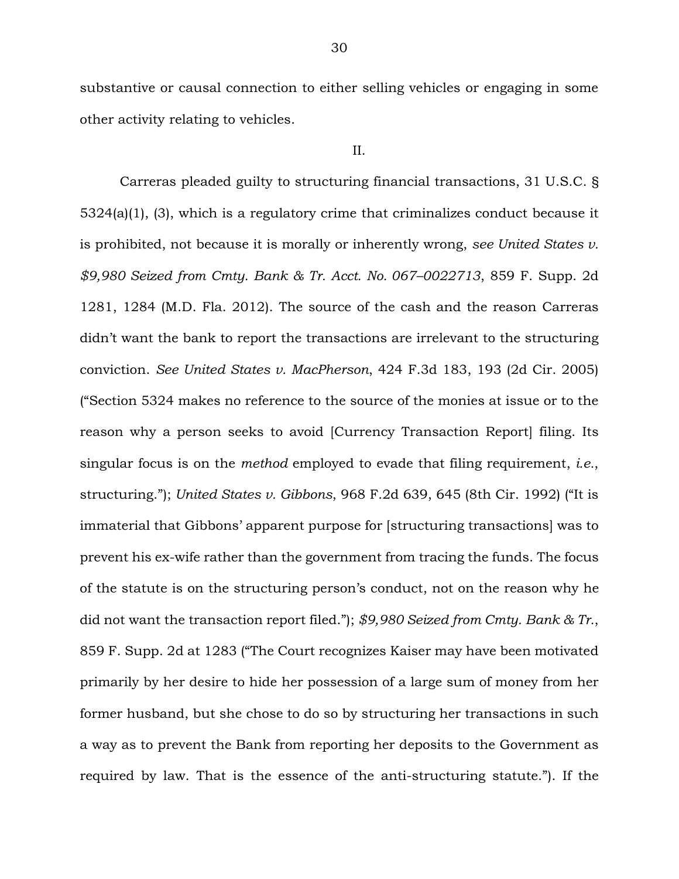substantive or causal connection to either selling vehicles or engaging in some other activity relating to vehicles.

#### II.

Carreras pleaded guilty to structuring financial transactions, 31 U.S.C. § 5324(a)(1), (3), which is a regulatory crime that criminalizes conduct because it is prohibited, not because it is morally or inherently wrong, *see United States v. \$9,980 Seized from Cmty. Bank & Tr. Acct. No. 067–0022713*, 859 F. Supp. 2d 1281, 1284 (M.D. Fla. 2012). The source of the cash and the reason Carreras didn't want the bank to report the transactions are irrelevant to the structuring conviction. *See United States v. MacPherson*, 424 F.3d 183, 193 (2d Cir. 2005) ("Section 5324 makes no reference to the source of the monies at issue or to the reason why a person seeks to avoid [Currency Transaction Report] filing. Its singular focus is on the *method* employed to evade that filing requirement, *i.e.*, structuring."); *United States v. Gibbons*, 968 F.2d 639, 645 (8th Cir. 1992) ("It is immaterial that Gibbons' apparent purpose for [structuring transactions] was to prevent his ex-wife rather than the government from tracing the funds. The focus of the statute is on the structuring person's conduct, not on the reason why he did not want the transaction report filed."); *\$9,980 Seized from Cmty. Bank & Tr.*, 859 F. Supp. 2d at 1283 ("The Court recognizes Kaiser may have been motivated primarily by her desire to hide her possession of a large sum of money from her former husband, but she chose to do so by structuring her transactions in such a way as to prevent the Bank from reporting her deposits to the Government as required by law. That is the essence of the anti-structuring statute."). If the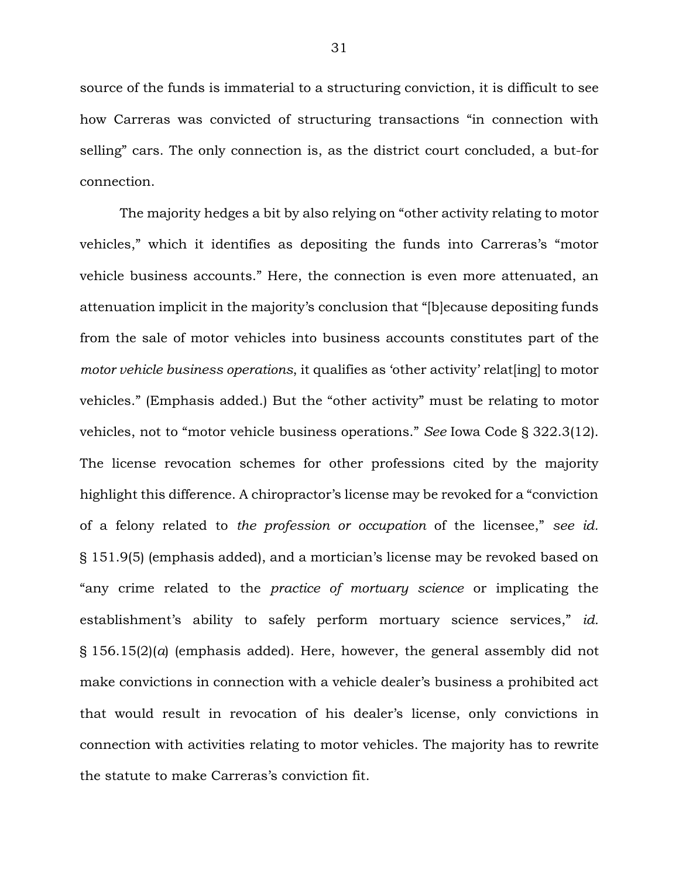source of the funds is immaterial to a structuring conviction, it is difficult to see how Carreras was convicted of structuring transactions "in connection with selling" cars. The only connection is, as the district court concluded, a but-for connection.

The majority hedges a bit by also relying on "other activity relating to motor vehicles," which it identifies as depositing the funds into Carreras's "motor vehicle business accounts." Here, the connection is even more attenuated, an attenuation implicit in the majority's conclusion that "[b]ecause depositing funds from the sale of motor vehicles into business accounts constitutes part of the *motor vehicle business operations*, it qualifies as 'other activity' relat [ing] to motor vehicles." (Emphasis added.) But the "other activity" must be relating to motor vehicles, not to "motor vehicle business operations." *See* Iowa Code § 322.3(12). The license revocation schemes for other professions cited by the majority highlight this difference. A chiropractor's license may be revoked for a "conviction of a felony related to *the profession or occupation* of the licensee," *see id.*  § 151.9(5) (emphasis added), and a mortician's license may be revoked based on "any crime related to the *practice of mortuary science* or implicating the establishment's ability to safely perform mortuary science services," id. § 156.15(2)(*a*) (emphasis added). Here, however, the general assembly did not make convictions in connection with a vehicle dealer's business a prohibited act that would result in revocation of his dealer's license, only convictions in connection with activities relating to motor vehicles. The majority has to rewrite the statute to make Carreras's conviction fit.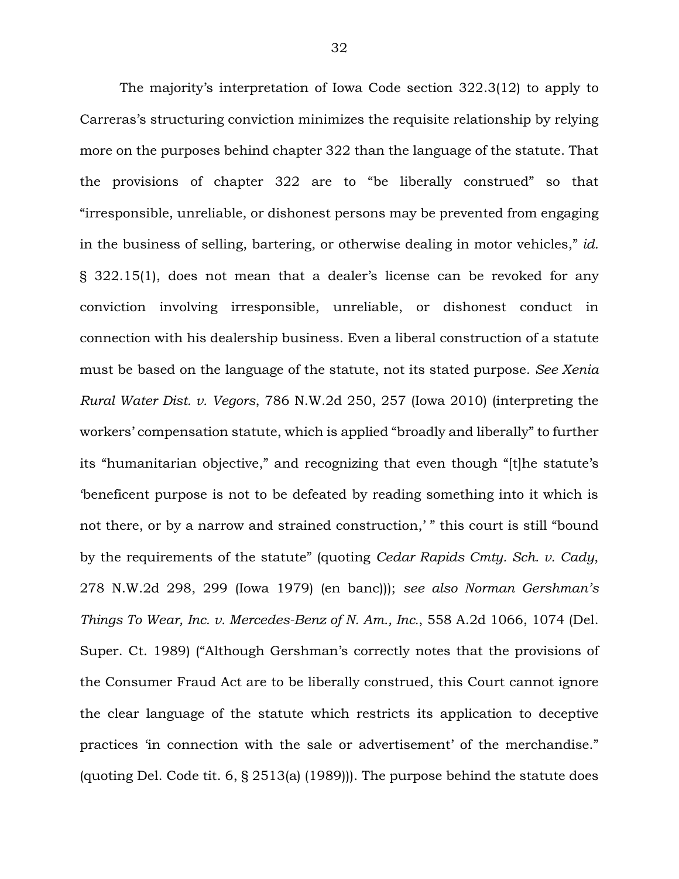The majority's interpretation of Iowa Code section 322.3(12) to apply to Carreras's structuring conviction minimizes the requisite relationship by relying more on the purposes behind chapter 322 than the language of the statute. That the provisions of chapter 322 are to "be liberally construed" so that "irresponsible, unreliable, or dishonest persons may be prevented from engaging in the business of selling, bartering, or otherwise dealing in motor vehicles," *id.*  § 322.15(1), does not mean that a dealer's license can be revoked for any conviction involving irresponsible, unreliable, or dishonest conduct in connection with his dealership business. Even a liberal construction of a statute must be based on the language of the statute, not its stated purpose. *See Xenia Rural Water Dist. v. Vegors*, 786 N.W.2d 250, 257 (Iowa 2010) (interpreting the workers' compensation statute, which is applied "broadly and liberally" to further its "humanitarian objective," and recognizing that even though "[t]he statute's 'beneficent purpose is not to be defeated by reading something into it which is not there, or by a narrow and strained construction,' " this court is still "bound by the requirements of the statute" (quoting *Cedar Rapids Cmty. Sch. v. Cady*, 278 N.W.2d 298, 299 (Iowa 1979) (en banc))); *see also Norman Gershman's Things To Wear, Inc. v. Mercedes-Benz of N. Am., Inc.*, 558 A.2d 1066, 1074 (Del. Super. Ct. 1989) ("Although Gershman's correctly notes that the provisions of the Consumer Fraud Act are to be liberally construed, this Court cannot ignore the clear language of the statute which restricts its application to deceptive practices 'in connection with the sale or advertisement' of the merchandise." (quoting Del. Code tit. 6, § 2513(a) (1989))). The purpose behind the statute does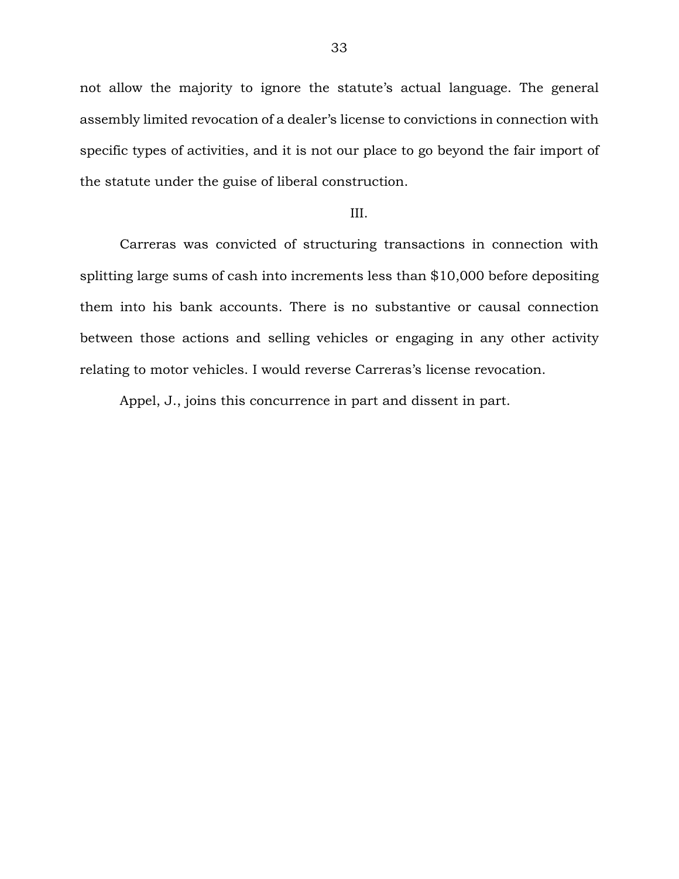not allow the majority to ignore the statute's actual language. The general assembly limited revocation of a dealer's license to convictions in connection with specific types of activities, and it is not our place to go beyond the fair import of the statute under the guise of liberal construction.

#### III.

Carreras was convicted of structuring transactions in connection with splitting large sums of cash into increments less than \$10,000 before depositing them into his bank accounts. There is no substantive or causal connection between those actions and selling vehicles or engaging in any other activity relating to motor vehicles. I would reverse Carreras's license revocation.

Appel, J., joins this concurrence in part and dissent in part.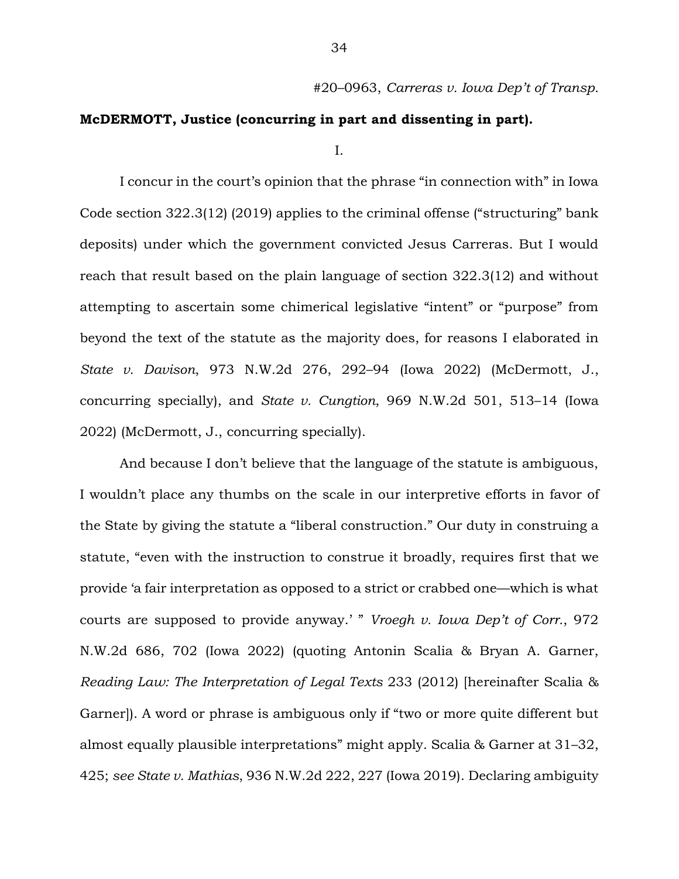## **McDERMOTT, Justice (concurring in part and dissenting in part).**

I.

I concur in the court's opinion that the phrase "in connection with" in Iowa Code section 322.3(12) (2019) applies to the criminal offense ("structuring" bank deposits) under which the government convicted Jesus Carreras. But I would reach that result based on the plain language of section 322.3(12) and without attempting to ascertain some chimerical legislative "intent" or "purpose" from beyond the text of the statute as the majority does, for reasons I elaborated in *State v. Davison*, 973 N.W.2d 276, 292–94 (Iowa 2022) (McDermott, J., concurring specially), and *State v. Cungtion*, 969 N.W.2d 501, 513–14 (Iowa 2022) (McDermott, J., concurring specially).

And because I don't believe that the language of the statute is ambiguous, I wouldn't place any thumbs on the scale in our interpretive efforts in favor of the State by giving the statute a "liberal construction." Our duty in construing a statute, "even with the instruction to construe it broadly, requires first that we provide 'a fair interpretation as opposed to a strict or crabbed one—which is what courts are supposed to provide anyway.' " *Vroegh v. Iowa Dep't of Corr.*, 972 N.W.2d 686, 702 (Iowa 2022) (quoting Antonin Scalia & Bryan A. Garner, *Reading Law: The Interpretation of Legal Texts* 233 (2012) [hereinafter Scalia & Garner]). A word or phrase is ambiguous only if "two or more quite different but almost equally plausible interpretations" might apply. Scalia & Garner at 31–32, 425; *see State v. Mathias*, 936 N.W.2d 222, 227 (Iowa 2019). Declaring ambiguity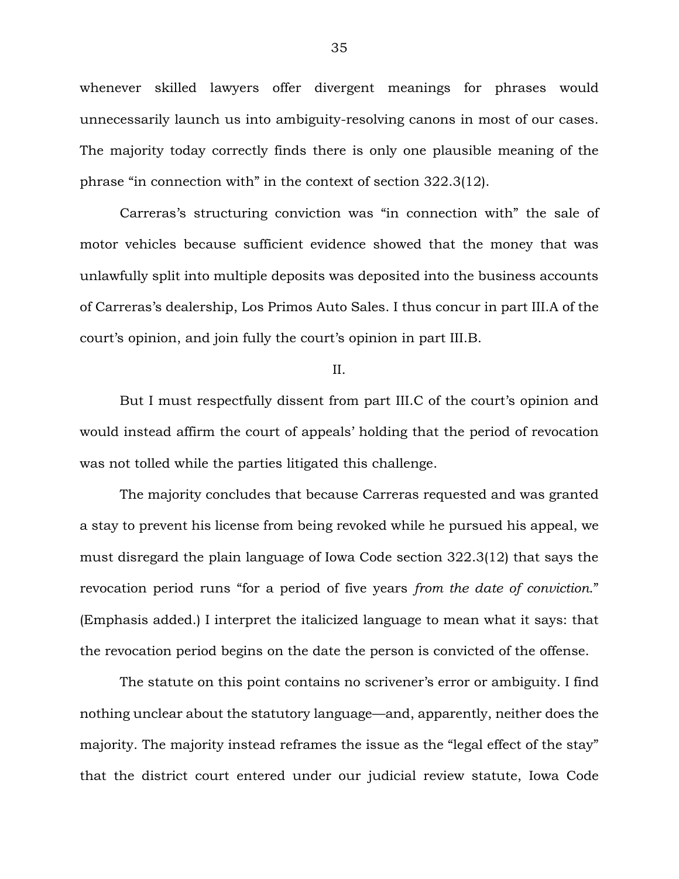whenever skilled lawyers offer divergent meanings for phrases would unnecessarily launch us into ambiguity-resolving canons in most of our cases. The majority today correctly finds there is only one plausible meaning of the phrase "in connection with" in the context of section 322.3(12).

Carreras's structuring conviction was "in connection with" the sale of motor vehicles because sufficient evidence showed that the money that was unlawfully split into multiple deposits was deposited into the business accounts of Carreras's dealership, Los Primos Auto Sales. I thus concur in part III.A of the court's opinion, and join fully the court's opinion in part III.B.

II.

But I must respectfully dissent from part III.C of the court's opinion and would instead affirm the court of appeals' holding that the period of revocation was not tolled while the parties litigated this challenge.

The majority concludes that because Carreras requested and was granted a stay to prevent his license from being revoked while he pursued his appeal, we must disregard the plain language of Iowa Code section 322.3(12) that says the revocation period runs "for a period of five years *from the date of conviction*." (Emphasis added.) I interpret the italicized language to mean what it says: that the revocation period begins on the date the person is convicted of the offense.

The statute on this point contains no scrivener's error or ambiguity. I find nothing unclear about the statutory language—and, apparently, neither does the majority. The majority instead reframes the issue as the "legal effect of the stay" that the district court entered under our judicial review statute, Iowa Code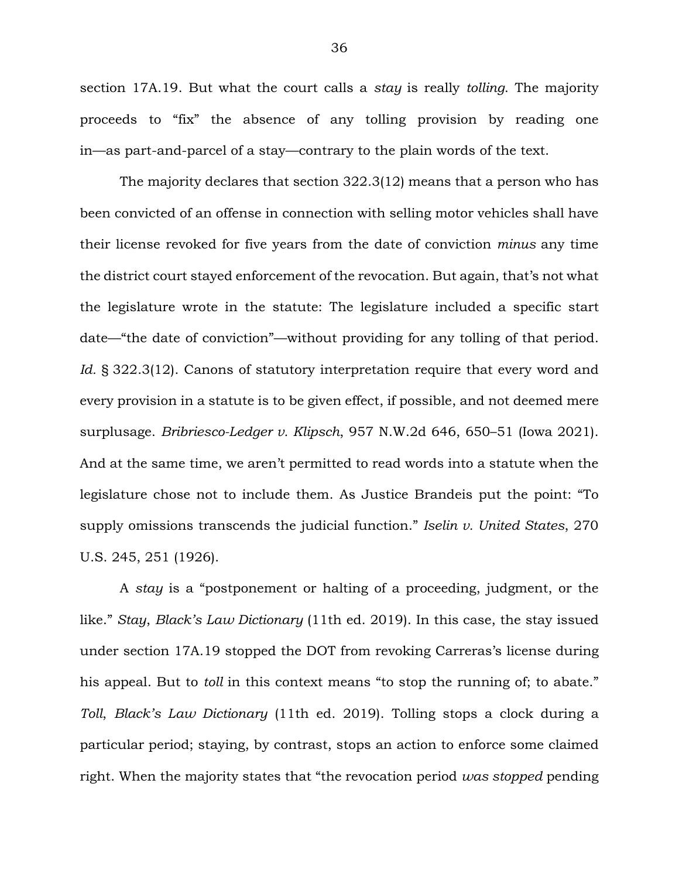section 17A.19. But what the court calls a *stay* is really *tolling*. The majority proceeds to "fix" the absence of any tolling provision by reading one in—as part-and-parcel of a stay—contrary to the plain words of the text.

The majority declares that section 322.3(12) means that a person who has been convicted of an offense in connection with selling motor vehicles shall have their license revoked for five years from the date of conviction *minus* any time the district court stayed enforcement of the revocation. But again, that's not what the legislature wrote in the statute: The legislature included a specific start date—"the date of conviction"—without providing for any tolling of that period. Id. § 322.3(12). Canons of statutory interpretation require that every word and every provision in a statute is to be given effect, if possible, and not deemed mere surplusage. *Bribriesco-Ledger v. Klipsch*, 957 N.W.2d 646, 650–51 (Iowa 2021). And at the same time, we aren't permitted to read words into a statute when the legislature chose not to include them. As Justice Brandeis put the point: "To supply omissions transcends the judicial function." *Iselin v. United States*, 270 U.S. 245, 251 (1926).

A *stay* is a "postponement or halting of a proceeding, judgment, or the like." *Stay*, *Black's Law Dictionary* (11th ed. 2019). In this case, the stay issued under section 17A.19 stopped the DOT from revoking Carreras's license during his appeal. But to *toll* in this context means "to stop the running of; to abate." *Toll*, *Black's Law Dictionary* (11th ed. 2019). Tolling stops a clock during a particular period; staying, by contrast, stops an action to enforce some claimed right. When the majority states that "the revocation period *was stopped* pending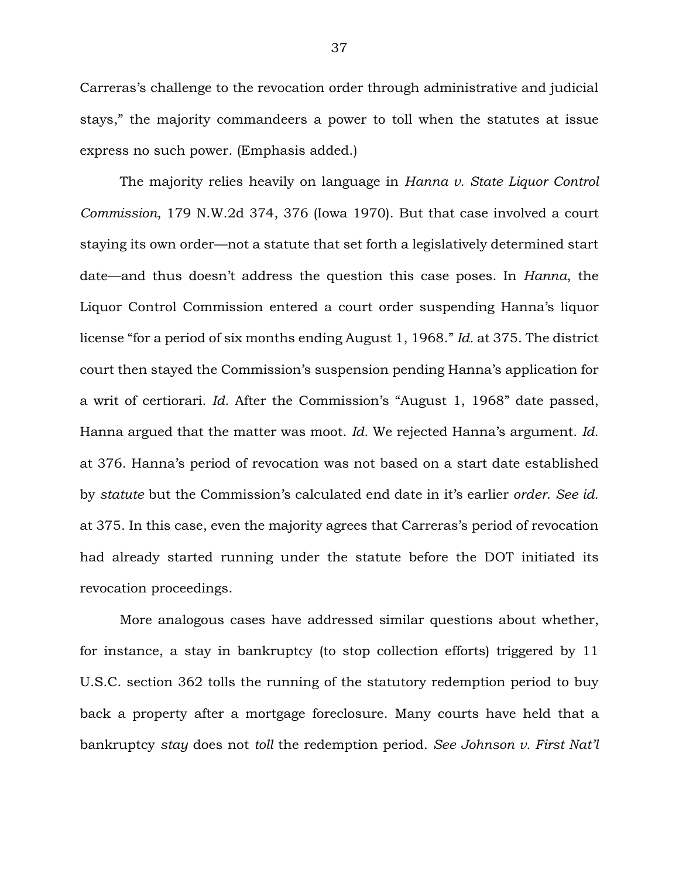Carreras's challenge to the revocation order through administrative and judicial stays," the majority commandeers a power to toll when the statutes at issue express no such power. (Emphasis added.)

The majority relies heavily on language in *Hanna v. State Liquor Control Commission*, 179 N.W.2d 374, 376 (Iowa 1970). But that case involved a court staying its own order—not a statute that set forth a legislatively determined start date—and thus doesn't address the question this case poses. In *Hanna*, the Liquor Control Commission entered a court order suspending Hanna's liquor license "for a period of six months ending August 1, 1968." *Id.* at 375. The district court then stayed the Commission's suspension pending Hanna's application for a writ of certiorari. *Id.* After the Commission's "August 1, 1968" date passed, Hanna argued that the matter was moot. *Id.* We rejected Hanna's argument. *Id.*  at 376. Hanna's period of revocation was not based on a start date established by *statute* but the Commission's calculated end date in it's earlier *order*. *See id.*  at 375. In this case, even the majority agrees that Carreras's period of revocation had already started running under the statute before the DOT initiated its revocation proceedings.

More analogous cases have addressed similar questions about whether, for instance, a stay in bankruptcy (to stop collection efforts) triggered by 11 U.S.C. section 362 tolls the running of the statutory redemption period to buy back a property after a mortgage foreclosure. Many courts have held that a bankruptcy *stay* does not *toll* the redemption period. *See Johnson v. First Nat'l*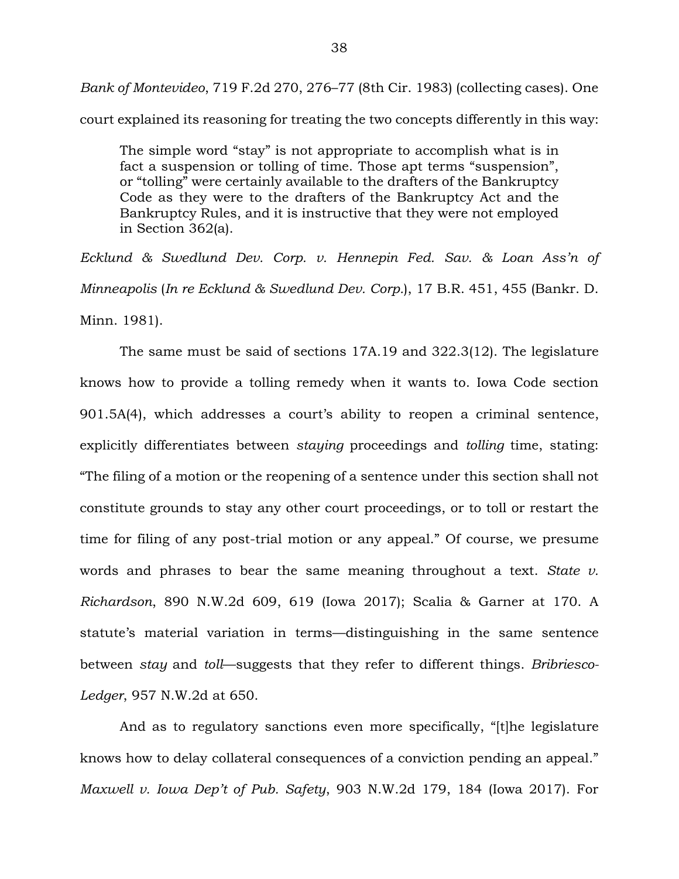*Bank of Montevideo*, 719 F.2d 270, 276–77 (8th Cir. 1983) (collecting cases). One court explained its reasoning for treating the two concepts differently in this way:

The simple word "stay" is not appropriate to accomplish what is in fact a suspension or tolling of time. Those apt terms "suspension", or "tolling" were certainly available to the drafters of the Bankruptcy Code as they were to the drafters of the Bankruptcy Act and the Bankruptcy Rules, and it is instructive that they were not employed in Section 362(a).

*Ecklund & Swedlund Dev. Corp. v. Hennepin Fed. Sav. & Loan Ass'n of Minneapolis* (*In re Ecklund & Swedlund Dev. Corp.*), 17 B.R. 451, 455 (Bankr. D. Minn. 1981).

The same must be said of sections 17A.19 and 322.3(12). The legislature knows how to provide a tolling remedy when it wants to. Iowa Code section 901.5A(4), which addresses a court's ability to reopen a criminal sentence, explicitly differentiates between *staying* proceedings and *tolling* time, stating: "The filing of a motion or the reopening of a sentence under this section shall not constitute grounds to stay any other court proceedings, or to toll or restart the time for filing of any post-trial motion or any appeal." Of course, we presume words and phrases to bear the same meaning throughout a text. *State v. Richardson*, 890 N.W.2d 609, 619 (Iowa 2017); Scalia & Garner at 170. A statute's material variation in terms—distinguishing in the same sentence between *stay* and *toll*—suggests that they refer to different things. *Bribriesco-Ledger*, 957 N.W.2d at 650.

And as to regulatory sanctions even more specifically, "[t]he legislature knows how to delay collateral consequences of a conviction pending an appeal." *Maxwell v. Iowa Dep't of Pub. Safety*, 903 N.W.2d 179, 184 (Iowa 2017). For